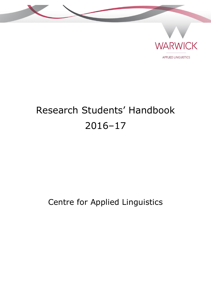



**APPLIED LINGUISTICS** 

# Research Students' Handbook 2016–17

## Centre for Applied Linguistics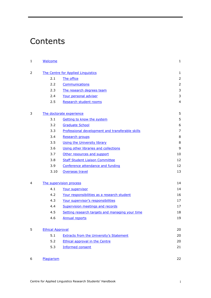## <span id="page-1-0"></span>**Contents**

| 1              | Welcome                 |                                                  | $\mathbf{1}$   |
|----------------|-------------------------|--------------------------------------------------|----------------|
| $\overline{2}$ |                         | The Centre for Applied Linquistics               | $\mathbf{1}$   |
|                | 2.1                     | The office                                       | $\overline{2}$ |
|                | 2.2                     | Communications                                   | $\overline{2}$ |
|                | 2.3                     | The research degrees team                        | 3              |
|                | 2.4                     | Your personal adviser                            | 3              |
|                | 2.5                     | Research student rooms                           | $\overline{4}$ |
| 3              |                         | The doctorate experience                         | 5              |
|                | 3.1                     | Getting to know the system                       | 5              |
|                | 3.2                     | <b>Graduate School</b>                           | 6              |
|                | 3.3                     | Professional development and transferable skills | $\overline{7}$ |
|                | 3.4                     | Research groups                                  | 8              |
|                | 3.5                     | <b>Using the University library</b>              | 8              |
|                | 3.6                     | Using other libraries and collections            | 9              |
|                | 3.7                     | Other resources and support                      | 10             |
|                | 3.8                     | <b>Staff Student Liaison Committee</b>           | 12             |
|                | 3.9                     | Conference attendance and funding                | 12             |
|                | 3.10                    | Overseas travel                                  | 13             |
| 4              |                         | The supervision process                          | 14             |
|                | 4.1                     | Your supervisor                                  | 14             |
|                | 4.2                     | Your responsibilities as a research student      | 16             |
|                | 4.3                     | Your supervisor's responsibilities               | 17             |
|                | 4.4                     | Supervision meetings and records                 | 17             |
|                | 4.5                     | Setting research targets and managing your time  | 18             |
|                | 4.6                     | <b>Annual reports</b>                            | 19             |
| 5              | <b>Ethical Approval</b> |                                                  | 20             |
|                | 5.1                     | <b>Extracts from the University's Statement</b>  | 20             |
|                | 5.2                     | <b>Ethical approval in the Centre</b>            | 20             |
|                | 5.3                     | <b>Informed consent</b>                          | 21             |
| 6              | Plagiarism              |                                                  | 22             |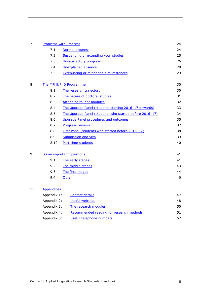| $\overline{7}$ | <b>Problems with Progress</b>  |                                                         | 24 |
|----------------|--------------------------------|---------------------------------------------------------|----|
|                | 7.1                            | Normal progress                                         | 24 |
|                | 7.2                            | Suspending or extending your studies                    | 25 |
|                | 7.3                            | <b>Unsatisfactory progress</b>                          | 26 |
|                | 7.4                            | <b>Unexplained absence</b>                              | 28 |
|                | 7.5                            | <b>Extenuating or mitigating circumstances</b>          | 29 |
| 8              | The MPhil/PhD Programme        |                                                         | 30 |
|                | 8.1<br>The research trajectory |                                                         | 30 |
|                | 8.2                            | The nature of doctoral studies                          |    |
|                | 8.3                            | <b>Attending taught modules</b>                         | 32 |
|                | 8.4                            | The Upgrade Panel (students starting 2016-17 onwards)   | 33 |
|                | 8.5                            | The Upgrade Panel (students who started before 2016-17) | 34 |
|                | 8.6                            | <b>Upgrade Panel procedures and outcomes</b>            |    |
|                | 8.7                            | Progress reviews                                        |    |
|                | 8.8                            | First Panel (students who started before 2016-17)       |    |
|                | 8.9                            | <b>Submission and viva</b>                              |    |
|                | 8.10                           | Part-time students                                      | 40 |
| 9              |                                | Some important questions                                | 41 |
|                | 9.1                            | The early stages                                        |    |
|                | 9.2                            | The middle stages                                       |    |
|                | 9.3                            | The final stages                                        | 44 |
|                | 9.4                            | Other                                                   | 46 |
| 11             | <b>Appendices</b>              |                                                         |    |
|                | Appendix 1:                    | <b>Contact details</b>                                  | 47 |
|                | Appendix 2:                    | <b>Useful websites</b>                                  | 48 |
|                | Appendix 3:                    | The research modules                                    | 50 |
|                | Appendix 4:                    | Recommended reading for research methods                | 51 |

| Appendix 5: | Useful telephone numbers | 52 |
|-------------|--------------------------|----|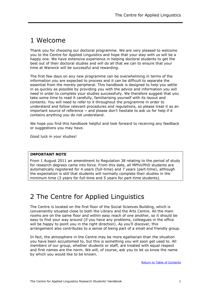## <span id="page-3-0"></span>1 Welcome

Thank you for choosing our doctoral programme. We are very pleased to welcome you to the Centre for Applied Linguistics and hope that your stay with us will be a happy one. We have extensive experience in helping doctoral students to get the best out of their doctoral studies and will do all that we can to ensure that your time at Warwick will be successful and rewarding.

The first few days on any new programme can be overwhelming in terms of the information you are expected to process and it can be difficult to separate the essential from the merely peripheral. This handbook is designed to help you settle in as quickly as possible by providing you with the advice and information you will need in order to complete your studies successfully. We therefore suggest that you take some time to read it carefully, familiarising yourself with its layout and contents. You will need to refer to it throughout the programme in order to understand and follow relevant procedures and regulations, so please treat it as an important source of reference — and please don't hesitate to ask us for help if it contains anything you do not understand.

We hope you find this handbook helpful and look forward to receiving any feedback or suggestions you may have.

Good luck in your studies!

#### **IMPORTANT NOTE**

From 1 August 2011 an amendment to Regulation 38 relating to the period of study for research degrees came into force. From this date, all MPhil/PhD students are automatically registered for 4 years (full-time) and 7 years (part-time), although the expectation is still that students will normally complete their studies in the minimum time (3 years for full-time and 5 years for part-time students).

## <span id="page-3-1"></span>2 The Centre for Applied Linguistics

The Centre is located on the first floor of the Social Sciences Building, which is conveniently situated close to both the Library and the Arts Centre. All the main rooms are on the same floor and within easy reach of one another, so it should be easy to find your way around (if you have any problems, colleagues in the office will be happy to point you in the right direction). As you'll discover, this arrangement also contributes to a sense of being part of a small and friendly group.

In fact, the atmosphere in the Centre may be more egalitarian than the situation you have been accustomed to, but this is something you will soon get used to. All members of our group, whether students or staff, are treated with equal respect and first names are the norm. We will, of course, ask you to let us know the name by which you would like to be known.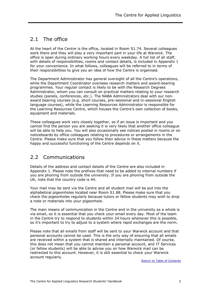## <span id="page-4-0"></span>2.1 The office

At the heart of the Centre is the office, located in Room S1.74. Several colleagues work there and they will play a very important part in your life at Warwick. The office is open during ordinary working hours every weekday. A full list of all staff, with details of responsibilities, rooms and contact details, is included in Appendix 1 for your convenience. In what follows, colleagues will be referred to in terms of their responsibilities to give you an idea of how the Centre is organised.

The Department Administrator has general oversight of all the Centre's operations, while the Department Coordinator oversees research matters and award-bearing programmes. Your regular contact is likely to be with the Research Degrees Administrator, whom you can consult on practical matters relating to your research studies (panels, conferences, etc.). The NABA Administrators deal with our nonaward bearing courses (e.g. short courses, pre-sessional and in-sessional English language courses), while the Learning Resources Administrator is responsible for the Learning Resources Centre, which houses the Centre's own collection of books, equipment and materials.

These colleagues work very closely together, so if an issue is important and you cannot find the person you are seeking it is very likely that another office colleague will be able to help you. You will also occasionally see notices posted in rooms or on noticeboards by office colleagues relating to procedures or arrangements in the Centre. Please make sure that you follow their advice in these matters because the happy and successful functioning of the Centre depends on it.

## <span id="page-4-1"></span>2.2 Communications

Details of the address and contact details of the Centre are also included in Appendix 1. Please note the prefixes that need to be added to internal numbers if you are phoning from outside the university. If you are phoning from outside the UK, note that the country code is 44.

Your mail may be sent via the Centre and all student mail will be put into the alphabetical pigeonholes located near Room S1.88. Please make sure that you check the pigeonholes regularly because tutors or fellow students may wish to drop a note or materials into your pigeonhole.

The main means of communication in the Centre and in the university as a whole is via email, so it is essential that you check your email every day. Most of the team in the Centre try to respond to students within 24 hours whenever this is possible, so it's important to try to adjust to a system where rapid exchanges are the norm.

Please note that all emails from staff will be sent to your Warwick account and that personal accounts cannot be used. This is the only way of ensuring that all emails are received within a system that is shared and internally maintained. Of course, this does not mean that you cannot maintain a personal account, and IT Services (or fellow students) will be able to advise you on how Warwick mail can be redirected to this account. However, it is still essential to check your Warwick account regularly.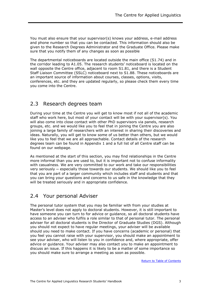You must also ensure that your supervisor(s) knows your address, e-mail address and phone number so that you can be contacted. This information should also be given to the Research Degrees Administrator and the Graduate Office. Please make sure that you notify them of any changes as soon as possible

The departmental noticeboards are located outside the main office (S1.74) and in the corridor leading to A1.05. The research students' noticeboard is located on the wall opposite the Centre office, adjacent to room S1.81, and there is a Student Staff Liaison Committee (SSLC) noticeboard next to S1.88. These noticeboards are an important source of information about courses, classes, options, visits, conferences, etc. and they are updated regularly, so please check them every time you come into the Centre.

### <span id="page-5-0"></span>2.3 Research degrees team

During your time at the Centre you will get to know most if not all of the academic staff who work here, but most of your contact will be with your supervisor(s). You will also come into close contact with other PhD supervisors via panels, research groups, etc. and we would like you to feel that in joining the Centre you are also joining a large family of researchers with an interest in sharing their discoveries and ideas. Naturally, you will get to know some of us better than others, but we would like you to feel that we are all approachable. Contact details of the research degrees team can be found in Appendix 1 and a full list of all Centre staff can be found on our webpage.

As mentioned at the start of this section, you may find relationships in the Centre more informal than you are used to, but it is important not to confuse informality with casualness. We are very committed to our work and take our responsibilities very seriously ─ especially those towards our students. We should like you to feel that you are part of a larger community which includes staff and students and that you can bring your questions and concerns to us safe in the knowledge that they will be treated seriously and in appropriate confidence.

### <span id="page-5-1"></span>2.4 Your personal Adviser

The personal tutor system that you may be familiar with from your studies at Master's level does not apply to doctoral students. However, it is still important to have someone you can turn to for advice or guidance, so all doctoral students have access to an adviser who fulfils a role similar to that of personal tutor. The personal adviser for all doctoral students is the Director of Graduate Studies (DGS). Although you should not expect to have regular meetings, your adviser will be available should you need to make contact. If you have concerns (academic or personal) that you feel you cannot raise with your supervisor, you should make an appointment to see your adviser, who will listen to you in confidence and, where appropriate, offer advice or guidance. Your adviser may also contact you to make an appointment to discuss an issue. If this happens it is likely to be a matter of some importance so you should make sure to arrange a meeting as soon as possible.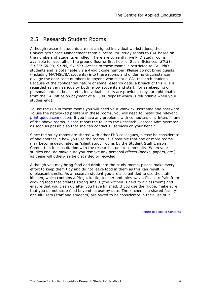## <span id="page-6-0"></span>2.5 Research Student Rooms

Although research students are not assigned individual workstations, the University's Space Management team allocate PhD study rooms to CAL based on the numbers of students enrolled. There are currently five PhD study rooms available for use, all on the ground floor or first floor of Social Sciences: *S0.31; S0.35; S0.39; S1.85; S1.100*. Access to these rooms is restricted to CAL PhD students and is obtainable via a 4-digit code number. Please do not bring guests (including MA/MSc/BA students) into these rooms and under no circumstances divulge the door code numbers to anyone who is not a CAL research student. Because of the confidential nature of some research data, a breach of this rule is regarded as very serious by both fellow students and staff. For safekeeping of personal laptops, books, etc., individual lockers are provided (keys are obtainable from the CAL office on payment of a £5.00 deposit which is refundable when your studies end).

To use the PCs in these rooms you will need your Warwick username and password. To use the networked printers in these rooms, you will need to install the relevant [print queue connection.](http://www2.warwick.ac.uk/services/its/servicessupport/printing/staffprinting/staffdeploy/el/) If you have any problems with computers or printers in any of the above rooms, please report the fault to the Research Degrees Administrator as soon as possible so that she can contact IT services on your behalf.

Since the study rooms are shared with other PhD colleagues, please be considerate of one another in how you use the rooms. It is possible that one or more rooms may become designated as 'silent study' rooms by the Student Staff Liaison Committee, in consultation with the research student community. When your studies end, do make sure you remove any personal effects (books, papers, etc.) as these will otherwise be discarded or recycled.

Although you may bring food and drink into the study rooms, please make every effort to keep them tidy and do not leave food in them as this can result in unpleasant smells. As a research student you are also entitled to use the staff kitchen, which contains a fridge, kettle, toaster and microwave. Please refrain from cooking food that creates strong smells (the kitchen is next to a classroom) and ensure that you clean up after you have finished. If you use the fridge, make sure that you do not store food beyond its use-by date. The kitchen is a shared facility and all users (staff and students) are asked to be considerate in their use of it.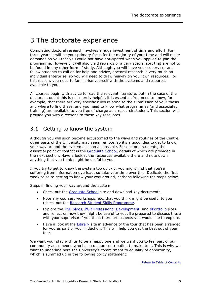## <span id="page-7-0"></span>3 The doctorate experience

Completing doctoral research involves a huge investment of time and effort. For three years it will be your primary focus for the majority of your time and will make demands on you that you could not have anticipated when you applied to join the programme. However, it will also yield rewards of a very special sort that are not to be found in any other form of study. Although you will have your supervisor and fellow students to call on for help and advice, doctoral research is very much an individual enterprise, so you will need to draw heavily on your own resources. For this reason, you need to familiarise yourself with the systems and resources available to you.

All courses begin with advice to read the relevant literature, but in the case of the doctoral student this is not merely helpful, it is essential. You need to know, for example, that there are very specific rules relating to the submission of your thesis and where to find these, and you need to know what programmes (and associated training) are available to you free of charge as a research student. This section will provide you with directions to these key resources.

## <span id="page-7-1"></span>3.1 Getting to know the system

Although you will soon become accustomed to the ways and routines of the Centre, other parts of the University may seem remote, so it's a good idea to get to know your way around the system as soon as possible. For doctoral students, the essential point of contact is the [Graduate School,](http://www2.warwick.ac.uk/services/academicoffice/gsp) details of which are provided in the next section. Have a look at the resources available there and note down anything that you think might be useful to you.

If you try to get to know the system too quickly, you might find that you're suffering from information overload, so take your time over this. Dedicate the first week or so to getting to know your way around, perhaps following the steps below.

Steps in finding your way around the system:

- Check out the [Graduate School](http://www2.warwick.ac.uk/services/academicoffice/gsp) site and download key documents.
- Note any courses, workshops, etc. that you think might be useful to you (check out the [Research Student Skills Programme.](http://www2.warwick.ac.uk/services/scs/pgr/programme/)
- Explore the [PhD blogs,](http://phdlife.warwick.ac.uk/) [PGR Professional Development,](http://www2.warwick.ac.uk/services/academicoffice/gsp/professionaldevelopment/pgrdevelopment/) and [ePortfolio](http://www2.warwick.ac.uk/services/skills/pgr/eportfolio) sites and reflect on how they might be useful to you. Be prepared to discuss these with your supervisor if you think there are aspects you would like to explore.
- Have a look at the [Library](http://www2.warwick.ac.uk/services/library) site in advance of the tour that has been arranged for you as part of your induction. This will help you get the best out of your tour.

We want your stay with us to be a happy one and we want you to feel part of our community as someone who has a unique contribution to make to it. This is why we want to underline here the University's commitment to equality of opportunity, which is summed up in the following policy statement: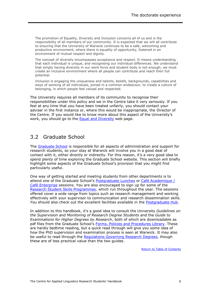The promotion of Equality, Diversity and Inclusion concerns all of us and is the responsibility of all members of our community. It is expected that we will all contribute to ensuring that the University of Warwick continues to be a safe, welcoming and productive environment, where there is equality of opportunity, fostered in an environment of mutual respect and dignity.

The concept of diversity encompasses acceptance and respect. It means understanding that each individual is unique, and recognising our individual differences. We understand that simply having diversity in our work force and student body is not enough; we must create an inclusive environment where all people can contribute and reach their full potential.

Inclusion is engaging the uniqueness and talents, beliefs, backgrounds, capabilities and ways of working of all individuals, joined in a common endeavour, to create a culture of belonging, in which people feel valued and respected.

The University requires all members of its community to recognise their responsibilities under this policy and we in the Centre take it very seriously. If you feel at any time that you have been treated unfairly, you should contact your adviser in the first instance or, where this would be inappropriate, the Director of the Centre. If you would like to know more about this aspect of the University's work, you should go to the [Equal and Diversity](http://www2.warwick.ac.uk/services/equalops/equal_opportunities_statement/) web page.

### <span id="page-8-0"></span>3.2 Graduate School

The [Graduate School](http://www2.warwick.ac.uk/services/academicoffice/gsp) is responsible for all aspects of administration and support for research students, so your stay at Warwick will involve you in a good deal of contact with it, either directly or indirectly. For this reason, it's a very good idea to spend plenty of time exploring the Graduate School website. This section will briefly highlight some aspects of the Graduate School's provision that you might find particularly useful.

One way of getting started and meeting students from other departments is to attend one of the Graduate School's [Postgraduate Lunches](http://www2.warwick.ac.uk/services/academicoffice/gsp/community/pglunches/) or [Café Academique /](http://www2.warwick.ac.uk/services/skills/pgr/opportunities/practice/cafe/) [Café Enterprise](http://www2.warwick.ac.uk/services/skills/pgr/opportunities/practice/cafe/) sessions. You are also encouraged to sign up for some of the Research Student [Skills Programmes,](http://www2.warwick.ac.uk/services/scs/pgr/programme/) which run throughout the year. The sessions offered cover a wide range from topics such as research management and working effectively with your supervisor to communication and research dissemination skills. You should also check out the excellent facilities available in the [Postgraduate Hub.](http://www2.warwick.ac.uk/services/library/pghub/postgraduate_hub/)

In addition to this handbook, it's a good idea to consult the University *Guidelines on the Supervision and Monitoring of Research Degree Students* and the *Guide to Examinations for Higher Degrees by Research*, both of which are downloadable as pdf files from the Graduate School's [Forms, Policies and Procedures Library.](http://www2.warwick.ac.uk/services/academicoffice/gsp/aboutus/formslibrary/) These are hardly bedtime reading, but a quick read through will give you some idea of how the PhD supervision and examination process is seen at Warwick. It may also be useful to read through the [Regulations Governing Research](http://www2.warwick.ac.uk/services/gov/calendar/section2/regulations/reg38pgr/) Degrees, though these are of less practical value than the two guides.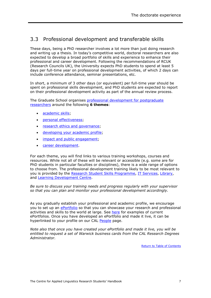## <span id="page-9-0"></span>3.3 Professional development and transferable skills

These days, being a PhD researcher involves a lot more than just doing research and writing up a thesis. In today's competitive world, doctoral researchers are also expected to develop a broad portfolio of skills and experience to enhance their professional and career development. Following the recommendations of RCUK (Research Councils UK), the University expects PhD students to spend at least 5 days per full-time year on professional development activities, of which 2 days can include conference attendance, seminar presentations, etc.

In short, a minimum of 3 other days (or equivalent) per full-time year should be spent on professional skills development, and PhD students are expected to report on their professional development activity as part of the annual review process.

The Graduate School organises [professional development for postgraduate](http://www2.warwick.ac.uk/services/academicoffice/gsp/professionaldevelopment/pgrdevelopment/)  [researchers](http://www2.warwick.ac.uk/services/academicoffice/gsp/professionaldevelopment/pgrdevelopment/) around the following **6 themes**:

- [academic skills;](http://www2.warwick.ac.uk/services/academicoffice/gsp/professionaldevelopment/pgrdevelopment/academicskills/)
- [personal effectiveness;](http://www2.warwick.ac.uk/services/academicoffice/gsp/professionaldevelopment/pgrdevelopment/personaleffectiveness/)
- [research ethics and governance;](http://www2.warwick.ac.uk/services/academicoffice/gsp/professionaldevelopment/pgrdevelopment/researchethics/)
- [developing your academic profile;](http://www2.warwick.ac.uk/services/academicoffice/gsp/professionaldevelopment/pgrdevelopment/developingacademicprofile/)
- impact [and public engagement;](http://www2.warwick.ac.uk/services/academicoffice/gsp/professionaldevelopment/pgrdevelopment/impactandpublicengagement/)
- **•** [career development.](http://www2.warwick.ac.uk/services/academicoffice/gsp/professionaldevelopment/pgrdevelopment/careerdevelopment/)

For each theme, you will find links to various training workshops, courses and resources. While not all of these will be relevant or accessible (e.g. some are for PhD students in particular faculties or disciplines), there is a wide range of options to choose from. The professional development training likely to be most relevant to you is provided by the [Research Student Skills Programme,](http://www2.warwick.ac.uk/services/skills/pgr/programme/) [IT Services,](http://www2.warwick.ac.uk/services/its/servicessupport/training/) [Library,](http://www2.warwick.ac.uk/services/library/students/postgraduates) and [Learning Development Centre.](http://www2.warwick.ac.uk/services/ldc/teaching_learning/pgr)

*Be sure to discuss your training needs and progress regularly with your supervisor so that you can plan and monitor your professional development accordingly.*

As you gradually establish your professional and academic profile, we encourage you to set up an [ePortfolio](http://www2.warwick.ac.uk/services/skills/pgr/eportfolio) so that you can showcase your research and professional activities and skills to the world at large. See [here](http://www2.warwick.ac.uk/study/csde/gsp/eportfolio/directory/pg/live/) for examples of current ePortfolios. Once you have developed an ePortfolio and made it live, it can be hyperlinked to your profile on our CAL [People](http://www2.warwick.ac.uk/fac/soc/al/people/) page.

<span id="page-9-1"></span>*Note also that once you have created your ePortfolio and made it live, you will be entitled to request a set of Warwick business cards from the CAL Research Degrees Administrator.*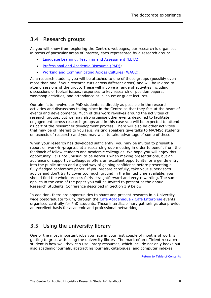## 3.4 Research groups

As you will know from exploring the Centre's webpages, our research is organised in terms of particular areas of interest, each represented by a research group:

- [Language Learning, Teaching and Assessment \(LLTA\);](http://www2.warwick.ac.uk/fac/soc/al/research/groups/llta/)
- **Professional and Academic Discourse (PAD):**
- [Working and Communicating Across Cultures \(WACC\).](http://www2.warwick.ac.uk/fac/soc/al/research/groups/wacc/)

As a research student, you will be attached to one of these groups (possibly even more than one if your research cuts across different areas) and will be invited to attend sessions of the group. These will involve a range of activities including discussions of topical issues, responses to key research or position papers, workshop activities, and attendance at in-house or guest lectures.

Our aim is to involve our PhD students as directly as possible in the research activities and discussions taking place in the Centre so that they feel at the heart of events and developments. Much of this work revolves around the activities of research groups, but we may also organise other events designed to facilitate engagement across research groups and in this case you will be expected to attend as part of the researcher development process. There will also be other activities that may be of interest to you (e.g. visiting speakers give talks to MA/MSc students on aspects of research) and you may wish to take advantage of some of these.

When your research has developed sufficiently, you may be invited to present a report on work-in-progress at a research group meeting in order to benefit from the feedback of fellow students and academic colleagues. We hope you will enjoy this opportunity. It is not unusual to be nervous when making presentations, but an audience of supportive colleagues offers an excellent opportunity for a gentle entry into the public arena and a good way of gaining confidence before presenting a fully-fledged conference paper. If you prepare carefully, take your supervisor's advice and don't try to cover too much ground in the limited time available, you should find the whole process fairly straightforward and very rewarding. The same applies in the case of the paper you will be invited to present at the annual Research Students' Conference described in Section 3.9 below.

In addition, there are opportunities to share and present research in a University-wide postgraduate forum, through the [Café Academique / Café Enterprise](http://www2.warwick.ac.uk/services/skills/pgr/opportunities/practice/cafe/) events organised centrally for PhD students. These interdisciplinary gatherings also provide an excellent basis for academic and professional networking.

## <span id="page-10-0"></span>3.5 Using the university library

One of the most important jobs you face in your first couple of months of work is getting to grips with using the university library. The mark of an efficient research student is how well they can use library resources, which include not only books but also academic journals, abstracting journals, catalogues, and computer indexes.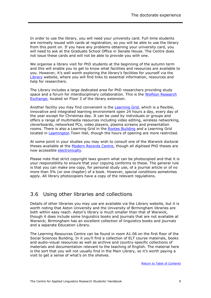In order to use the library, you will need your university card. Full-time students are normally issued with cards at registration, so you will be able to use the library from this point on. If you have any problems obtaining your university card, you will need to ask at the Graduate School Office in Senate House. The Centre does not issue these cards and will not be able to provide you with one.

We organise a library visit for PhD students at the beginning of the autumn term and this will enable you to get to know what facilities and resources are available to you. However, it's well worth exploring the library's facilities for yourself via the [Library](http://www2.warwick.ac.uk/services/library) website, where you will find links to essential information, resources and help for researchers.

The Library includes a large dedicated area for PhD researchers providing study space and a forum for interdisciplinary collaboration. This is the [Wolfson Research](http://www2.warwick.ac.uk/services/library/using/libspaces/research-exchange/)  [Exchange,](http://www2.warwick.ac.uk/services/library/using/libspaces/research-exchange/) located on Floor 3 of the library extension.

Another facility you may find convenient is the [Learning Grid,](http://www2.warwick.ac.uk/services/library/using/libspaces/learning_grid/) which is a flexible, innovative and integrated learning environment open 24 hours a day, every day of the year except for Christmas day. It can be used by individuals or groups and offers a range of multimedia resources including video editing, wireless networking, cleverboards, networked PCs, video players, plasma screens and presentation rooms. There is also a Learning Grid in the [Rootes Building](http://www2.warwick.ac.uk/services/library/using/libspaces/grid_rootes/) and a Learning Grid located in [Leamington](http://www2.warwick.ac.uk/services/library/using/libspaces/grid_leamington/) Town Hall, though the hours of opening are more restricted.

At some point in your studies you may wish to consult one of the Warwick doctoral theses available at the [Modern Records Centre,](http://www2.warwick.ac.uk/services/library/mrc) though all digitised PhD theses are now accessible [electronically.](https://www2.warwick.ac.uk/services/library/mrc/holdings/theses/)

Please note that strict copyright laws govern what can be photocopied and that it is your responsibility to ensure that your copying conforms to these. The general rule is that you can make one copy, for personal study use, of a journal article or of no more than 5% (or one chapter) of a book. However, special conditions sometimes apply. All library photocopiers have a copy of the relevant regulations.

### <span id="page-11-0"></span>3.6 Using other libraries and collections

Details of other libraries you may use are available via the Library website, but it is worth noting that Aston University and the University of Birmingham libraries are both within easy reach. Aston's library is much smaller than that of Warwick, though it does include some linguistics books and journals that are not available at Warwick; Birmingham has an excellent collection of linguistics books and journals and a separate Education Library.

The Learning Resources Centre can be found in room A1.06 on the first floor of the Social Sciences Building. In it you'll find a collection of ELT course materials, books and audio-visual resources as well as archive and country-specific collections of materials and documentation relevant to the teaching of English. The material here is the sort that you will not usually find in the Main Library, so it's worth paying a visit to get a sense of what's on the shelves.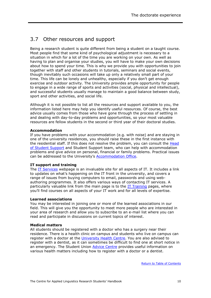## <span id="page-12-0"></span>3.7 Other resources and support

Being a research student is quite different from being a student on a taught course. Most people find that some kind of psychological adjustment is necessary to a situation in which for a lot of the time you are working on your own. As well as having to plan and organise your studies, you will have to make your own decisions about how to spend your time. This is why we provide you with opportunities to join together with staff and other students in tutorials, seminars and social events, though inevitably such occasions will take up only a relatively small part of your time. This life can be lonely and unhealthy, especially if you don't get enough exercise and outdoor activity. The University provides ample opportunity for people to engage in a wide range of sports and activities (social, physical and intellectual), and successful students usually manage to maintain a good balance between study, sport and other activities, and social life.

Although it is not possible to list all the resources and support available to you, the information listed here may help you identify useful resources. Of course, the best advice usually comes from those who have gone through the process of settling in and dealing with day-to-day problems and opportunities, so your most valuable resources are fellow students in the second or third year of their doctoral studies.

#### **Accommodation**

If you have problems with your accommodation (e.g. with noise) and are staying in one of the university residences, you should raise these in the first instance with the residential staff. If this does not resolve the problem, you can consult the Head [of Student Support](http://www2.warwick.ac.uk/services/student-support-services/student-support/) and Student Support team, who can help with accommodation problems and give advice on personal, financial or family problems. Practical issues can be addressed to the University's [Accommodation Office.](http://www2.warwick.ac.uk/services/accommodation)

#### **IT support and training**

The [IT Services](http://www2.warwick.ac.uk/services/its/) webpage is an invaluable site for all aspects of IT. It includes a link to updates on what's happening on the IT front in the university, and covers a range of issues from buying computers to email, passwords and using webauthoring programmes. It also offers various ways of contacting IT services. A particularly valuable link from the main page is to the  $IT$  Training pages, where you'll find courses on all aspects of your IT work and for all levels of expertise.

#### **Learned associations**

You may be interested in joining one or more of the learned associations in our field. This will give you the opportunity to meet more people who are interested in your area of research and allow you to subscribe to an e-mail list where you can read and participate in discussions on current topics of interest.

#### **Medical matters**

All students should be registered with a doctor who has a surgery near their residence. There is a health clinic on campus and students who live on campus can register with a doctor at the *University Health Centre*. You are also advised to register with a dentist, as it can sometimes be difficult to find one at short notice in an emergency. The Student Union **Advice Centre** provides useful information on various health matters including how to register with a doctor or a dentist.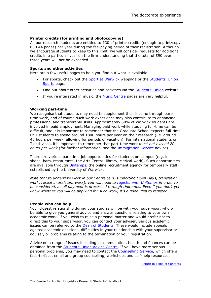#### **Printer credits (for printing and photocopying)**

All our research students are entitled to £30 of printer credits (enough to print/copy 600 A4 pages) per year during the fee-paying period of their registration. Although we encourage students to keep to this limit, we will consider requests for additional credits in a particular year on the firm understanding that the total of £90 over three years will not be exceeded.

#### **Sports and other activities**

Here are a few useful pages to help you find out what is available:

- For sports, check out the [Sport at Warwick](http://www2.warwick.ac.uk/services/sport) webpage or the Students' Union [Sports](http://www.warwicksu.com/sports/) page.
- Find out about other activities and societies via the [Students' Union](http://www.warwicksu.com/) website.
- If you're interested in music, the [Music Centre](http://www2.warwick.ac.uk/services/musiccentre/) pages are very helpful.

#### **Working part-time**

We recognise that students may need to supplement their income through parttime work, and of course such work experience may also contribute to enhancing professional and transferable skills. Approximately 50% of Warwick students are involved in paid employment. Managing paid work while studying full-time can be difficult, and it is important to remember that the Graduate School expects full-time PhD students to spend around 1800 hours per year on their research (i.e. around 40 hours per week, allowing for periods of vacation). For international students on Tier 4 visas, it's important to remember that part-time work *must not exceed 20 hours per week* (for further information, see the [Immigration Service](http://www2.warwick.ac.uk/study/international/immigration/tier4/working/) advice).

There are various part-time job opportunities for students on campus (e.g. in shops, bars, restaurants, the Arts Centre, library, clerical work). Such opportunities are available through *Unitemps*, the online recruitment agency for temporary staff established by the University of Warwick.

*Note that to undertake work in our Centre (e.g. supporting Open Days, translation work, research assistant work), you will need to [register with Unitemps](https://www.unitemps.com/Register/Candidate) in order to be considered, as all payment is processed through Unitemps. Even if you don't yet know whether you will be applying for such work, it's a good idea to register.*

#### **People who can help**

Your closest relationship during your studies will be with your supervisor, who will be able to give you general advice and answer questions relating to your own academic work. If you wish to raise a personal matter and would prefer not to direct this to your supervisor, you can contact your adviser. Serious academic issues can be referred to the [Dean of Students](http://www2.warwick.ac.uk/services/tutors/)*.* These would include appeals against academic decisions, difficulties in your relationship with your supervisor or adviser, or problems relating to the termination of your registration.

Advice on a range of issues including accommodation, health and finances can be obtained from the [Students' Union Advic](http://www.warwicksu.com/advice)e Centre. If you have more serious personal problems, you may need to contact the [Counselling Service,](http://www2.warwick.ac.uk/services/tutors/counselling/) which offers face-to-face, email and group counselling, workshops and self-help resources.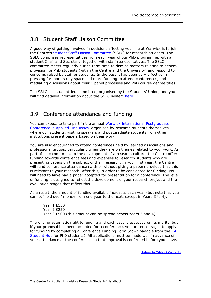## <span id="page-14-0"></span>3.8 Student Staff Liaison Committee

A good way of getting involved in decisions affecting your life at Warwick is to join the Centre's [Student Staff Liaison Committee](https://www.warwicksu.com/sslc/24034/) (SSLC) for research students. The SSLC comprises representatives from each year of our PhD programme, with a student Chair and Secretary, together with staff representatives. The SSLC committee meets regularly during term time to discuss matters relating to general provision for PhD students (within the Centre and the University) and respond to concerns raised by staff or students. In the past it has been very effective in pressing for more study space and more funding to attend conferences, and in mediating discussions about Year 1 panel processes and PhD course degree titles.

The SSLC is a student-led committee, organised by the Students' Union, and you will find detailed information about the SSLC system [here.](https://www.warwicksu.com/sslc/whatis/)

## <span id="page-14-1"></span>3.9 Conference attendance and funding

You can expect to take part in the annual Warwick [International Postgraduate](http://www2.warwick.ac.uk/fac/soc/al/research/conferences/wpgcal2016)  Conference [in Applied Linguistics,](http://www2.warwick.ac.uk/fac/soc/al/research/conferences/wpgcal2016) organised by research students themselves, where our students, visiting speakers and postgraduate students from other institutions present papers based on their work.

You are also encouraged to attend conferences held by learned associations and professional groups, particularly when they are on themes related to your work. As part of its commitment to the development of a research culture, the Centre offers funding towards conference fees and expenses to research students who are presenting papers on the subject of their research. In your first year, the Centre will fund conference attendance (with or without giving a paper) provided that this is relevant to your research. After this, in order to be considered for funding, you will need to have had a paper accepted for presentation for a conference. The level of funding is designed to reflect the development of your research project and the evaluation stages that reflect this.

As a result, the amount of funding available increases each year (but note that you cannot 'hold over' money from one year to the next, except in Years 3 to 4):

Year 1 £150 Year 2 £250 Year 3 £500 (this amount can be spread across Years 3 and 4)

There is no automatic right to funding and each case is assessed on its merits, but if your proposal has been accepted for a conference, you are encouraged to apply for funding by completing a Conference Funding Form (downloadable from the [CAL](http://www2.warwick.ac.uk/fac/soc/al/intranet/research/current_students/)  [Student Hub](http://www2.warwick.ac.uk/fac/soc/al/intranet/research/current_students/) for PhD students). All applications must be made well in advance of your attendance at the conference so that approval is confirmed before you leave.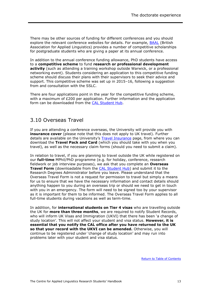There may be other sources of funding for different conferences and you should explore the relevant conference websites for details. For example, [BAAL](http://www.baal.org.uk/) (British Association for Applied Linguistics) provides a number of competitive scholarships for postgraduate students who are giving a paper at its annual conference.

In addition to the annual conference funding allowance, PhD students have access to a **competitive scheme** to fund **research or professional development activity** (such as attending a training workshop outside Warwick, or a professional networking event). Students considering an application to this competitive funding scheme should discuss their plans with their supervisors to seek their advice and support. This competitive scheme was set up in 2015–16, following a suggestion from and consultation with the SSLC.

There are four applications point in the year for the competitive funding scheme, with a maximum of £200 per application. Further information and the application form can be downloaded from the [CAL Student Hub.](http://www2.warwick.ac.uk/fac/soc/al/intranet/research/current_students/)

#### <span id="page-15-0"></span>3.10 Overseas Travel

If you are attending a conference overseas, the University will provide you with **insurance cover** (please note that this does not apply to UK travel). Further details are available on the University's [Travel Insurance](http://www2.warwick.ac.uk/services/finance/insurance/keypolicies/traveloverseas/) page, from where you can download the **Travel Pack and Card** (which you should take with you when you travel), as well as the necessary claim forms (should you need to submit a claim).

In relation to travel, if you are planning to travel outside the UK while registered on our **full-time** MPhil/PhD programme (e.g. for holiday, conference, research fieldwork or job interview purposes), we ask that you complete an **Overseas Travel Form** (downloadable from the **CAL Student Hub)** and submit it to the Research Degrees Administrator before you leave. Please understand that the Overseas Travel Form is not a request for permission to travel but simply a means for us to ensure that we have the necessary information and contact details should anything happen to you during an overseas trip or should we need to get in touch with you in an emergency. The form will need to be signed too by your supervisor as it is important for them to be informed. The Overseas Travel Form applies to all full-time students during vacations as well as term-time.

In addition, for **international students on Tier 4 visas** who are travelling outside the UK for **more than three months**, we are required to notify Student Records, who will inform UK Visas and Immigration (UKVI) that there has been 'a change of study location'. This will not affect your student and visa status. **However, it is essential that you notify the CAL office after you have returned to the UK so that your record with the UKVI can be amended.** Otherwise, you will continue to be registered under 'change of study location' and may run into problems later with your student and visa status.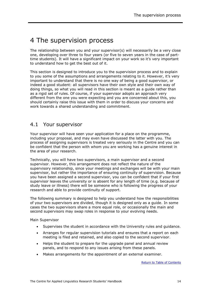## <span id="page-16-0"></span>4 The supervision process

The relationship between you and your supervisor(s) will necessarily be a very close one, developing over three to four years (or five to seven years in the case of parttime students). It will have a significant impact on your work so it's very important to understand how to get the best out of it.

This section is designed to introduce you to the supervision process and to explain to you some of the assumptions and arrangements relating to it. However, it's very important to understand that there is no one way of being a good supervisor, or indeed a good student: all supervisors have their own style and their own way of doing things, so what you will read in this section is meant as a guide rather than as a rigid set of rules. Of course, if your supervisor adopts an approach very different from the one you were expecting and you are concerned about this, you should certainly raise this issue with them in order to discuss your concerns and work towards a shared understanding and commitment.

### <span id="page-16-1"></span>4.1 Your supervisor

Your supervisor will have seen your application for a place on the programme, including your proposal, and may even have discussed the latter with you. The process of assigning supervisors is treated very seriously in the Centre and you can be confident that the person with whom you are working has a genuine interest in the area of your research.

Technically, you will have two supervisors, a main supervisor and a second supervisor. However, this arrangement does not reflect the nature of the supervisory relationship, since your meetings and exchanges will be with your main supervisor, but rather the importance of ensuring continuity of supervision. Because you have been assigned a second supervisor, you can be confident that if your first supervisor leaves the university or is absent for any length of time (e.g. because of study leave or illness) there will be someone who is following the progress of your research and able to provide continuity of support.

The following summary is designed to help you understand how the responsibilities of your two supervisors are divided, though it is designed only as a guide. In some cases the two supervisors share a more equal role, or occasionally the main and second supervisors may swap roles in response to your evolving needs.

Main Supervisor

- Supervises the student in accordance with the University rules and guidance.
- Arranges for regular supervision tutorials and ensures that a report on each meeting is filed and retained, and also copied to the second supervisor.
- Helps the student to prepare for the upgrade panel and annual review panels, and to respond to any issues arising from these panels.
- Makes arrangements for the appointment of an external examiner.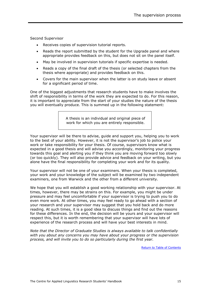Second Supervisor

- Receives copies of supervision tutorial reports.
- Reads the report submitted by the student for the Upgrade panel and where appropriate provides feedback on this, but does not sit on the panel itself.
- May be involved in supervision tutorials if specific expertise is needed.
- Reads a copy of the final draft of the thesis (or selected chapters from the thesis where appropriate) and provides feedback on this.
- Covers for the main supervisor when the latter is on study leave or absent for a significant period of time.

One of the biggest adjustments that research students have to make involves the shift of responsibility in terms of the work they are expected to do. For this reason, it is important to appreciate from the start of your studies the nature of the thesis you will eventually produce. This is summed up in the following statement:

> A thesis is an individual and original piece of work for which you are entirely responsible.

Your supervisor will be there to advise, guide and support you, helping you to work to the best of your ability. However, it is not the supervisor's job to police your work or take responsibility for your thesis. Of course, supervisors know what is expected in a good thesis and will advise you accordingly, monitoring your progress towards this goal and alerting you if they think you are moving forward too slowly (or too quickly). They will also provide advice and feedback on your writing, but you alone have the final responsibility for completing your work and for its quality.

Your supervisor will not be one of your examiners. When your thesis is completed, your work and your knowledge of the subject will be examined by two independent examiners, one from Warwick and the other from a different university.

We hope that you will establish a good working relationship with your supervisor. At times, however, there may be strains on this. For example, you might be under pressure and may feel uncomfortable if your supervisor is trying to push you to do even more work. At other times, you may feel ready to go ahead with a section of your research and your supervisor may suggest that you hold back and do more reading. At such times, it is a good idea to discuss things and find out the reasons for these differences. In the end, the decision will be yours and your supervisor will respect this, but it is worth remembering that your supervisor will have lots of experience of the research process and will have your best interests in mind.

*Note that the Director of Graduate Studies is always available to talk confidentially with you about any concerns you may have about your progress or the supervision process, and will invite you to do so particularly during the first year.*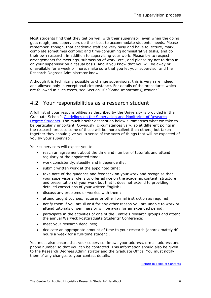Most students find that they get on well with their supervisor, even when the going gets rough, and supervisors do their best to accommodate students' needs. Please remember, though, that academic staff are very busy and have to lecture, mark, complete sometimes complex and time-consuming administrative tasks, and do their own research, in addition to supervising your work. Please try to respect arrangements for meetings, submission of work, etc., and please try not to drop in on your supervisor on a casual basis. And if you know that you will be away or unavailable for a week or more, make sure that you let your supervisor and the Research Degrees Administrator know.

Although it is technically possible to change supervisors, this is very rare indeed and allowed only in exceptional circumstance. For details of the procedures which are followed in such cases, see Section 10: 'Some Important Questions'.

### <span id="page-18-0"></span>4.2 Your responsibilities as a research student

A full list of your responsibilities as described by the University is provided in the Graduate School's [Guidelines on the Supervision and Monitoring of Research](http://www2.warwick.ac.uk/services/academicoffice/gsp/formslibrary/guidelines_on_supervision_and_monitoring_-_updated_july_2016.pdf)  [Degree Students.](http://www2.warwick.ac.uk/services/academicoffice/gsp/formslibrary/guidelines_on_supervision_and_monitoring_-_updated_july_2016.pdf) The much briefer description below summarises what we take to be particularly important. Obviously, circumstances vary, so at different points in the research process some of these will be more salient than others, but taken together they should give you a sense of the sorts of things that will be expected of you by your supervisor.

Your supervisors will expect you to

- reach an agreement about the time and number of tutorials and attend regularly at the appointed time;
- work consistently, steadily and independently;
- submit written work at the appointed time;
- take note of the guidance and feedback on your work and recognise that your supervisor's role is to offer advice on the academic content, structure and presentation of your work but that it does not extend to providing detailed corrections of your written English;
- discuss any problems or worries with them;
- attend taught courses, lectures or other formal instruction as required;
- notify them if you are ill or if for any other reason you are unable to work or attend tutorials or seminars or will be away for an extended period;
- participate in the activities of one of the Centre's research groups and attend the annual Warwick Postgraduate Students' Conference;
- meet your research deadlines;
- dedicate an appropriate amount of time to your research (approximately 40 hours a week for a full-time student).

You must also ensure that your supervisor knows your address, e-mail address and phone number so that you can be contacted. This information should also be given to the Research Degrees Administrator and the Graduate Office. You must notify them of any changes to your contact details.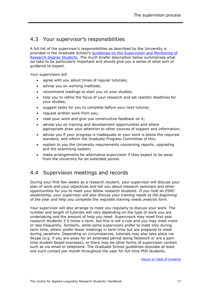## <span id="page-19-0"></span>4.3 Your supervisor's responsibilities

A full list of the supervisor's responsibilities as described by the University is provided in the Graduate School's [Guidelines on the Supervision and Monitoring of](http://www2.warwick.ac.uk/services/academicoffice/gsp/formslibrary/guidelines_on_supervision_and_monitoring_-_updated_july_2016.pdf)  Research Degree Students</u>. The much briefer description below summarises what we take to be particularly important and should give you a sense of what sort of guidance to expect.

Your supervisors will

- agree with you about times of regular tutorials;
- advise you on working methods;
- recommend readings to start you on your studies;
- help you to refine the focus of your research and set realistic deadlines for your studies;
- suggest tasks for you to complete before your next tutorial;
- request written work from you;
- read your work and give you constructive feedback on it;
- advise you on training and development opportunities and where appropriate draw your attention to other sources of support and information;
- advise you if your progress is inadequate or your work is below the required standard, and inform the Graduate Progress Committee of this;
- explain to you the University requirements concerning reports, upgrading and the examining system;
- make arrangements for alternative supervision if they expect to be away from the university for an extended period.

### <span id="page-19-1"></span>4.4 Supervision meetings and records

During your first few weeks as a research student, your supervisor will discuss your plan of work and your objectives and tell you about research seminars and other opportunities for you to meet your fellow research students. *If you hold an ESRC studentship, your supervisor will also discuss your training needs at the beginning of the year and help you complete the requisite training needs analysis form.*

Your supervisor will also arrange to meet you regularly to discuss your work. The number and length of tutorials will vary depending on the type of work you are undertaking and the amount of help you need. Supervisors may meet first year research students 3-5 times a term, but this is not a rule and you may meet more or less frequently. Similarly, while some supervisors prefer to meet only during term time, others prefer fewer meetings in term time but are prepared to meet during vacations. Depending on circumstances, tutorials may also take place via Skype (e.g. if you are away for an extended period doing fieldwork or are a parttime student based overseas), or there may be other forms of supervision contact such as via email or telephone. The Graduate School guidelines stipulate *at least one such contact per month* throughout the year for full-time PhD students.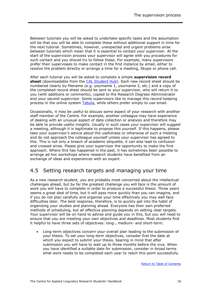Between tutorials you will be asked to undertake specific tasks and the assumption will be that you will be able to complete these without additional support in time for the next tutorial. Sometimes, however, unexpected and urgent problems arise between tutorials which mean that it is essential to contact your supervisor. At the start of the supervision process your supervisor will agree with you procedures for such contact and you should try to follow these. For example, many supervisors prefer their supervisees to make contact in the first instance by email, either to resolve the problem directly or arrange a time for a meeting, Skype or phone call.

After each tutorial you will be asked to complete a simple **supervision record sheet** (downloadable from the [CAL Student Hub\)](http://www2.warwick.ac.uk/fac/soc/al/intranet/research/current_students/). Each new record sheet should be numbered clearly by filename (e.g. yourname 1, yourname 2, etc.) and a copy of the completed record sheet should be sent to your supervisor, who will return it to you (with additions or comments), copied to the Research Degrees Administrator and your second supervisor. Some supervisors like to manage this record-keeping process in the online system [Tabula,](https://tabula.warwick.ac.uk/) while others prefer simply to use email.

Occasionally, it may be useful to discuss some aspect of your research with another staff member of the Centre. For example, another colleague may have experience of dealing with an unusual aspect of data collection or analysis and therefore may be able to provide useful insights. Usually in such cases your supervisor will suggest a meeting, although it is legitimate to propose this yourself. If this happens, please take your supervisor's advice about the usefulness or otherwise of such a meeting and do not approach the colleague yourself unless your supervisor has agreed to this. This is not only a breach of academic etiquette, it can also lead to confusion and crossed wires. Please give your supervisor the opportunity to make the first approach. Where this has happened in the past, it has sometimes been possible to arrange ad hoc workshops where research students have benefited from an exchange of ideas and experiences with an expert.

### <span id="page-20-0"></span>4.5 Setting research targets and managing your time

As a new research student, you are probably most concerned about the intellectual challenges ahead, but by far the greatest challenge you will face is the amount of work you will have to complete in order to produce a successful thesis. Three years seems a great deal of time, but it will pass more quickly than you can imagine, and if you do not plan carefully and organise your time effectively you may well face difficulties later. The best response, therefore, is to quickly get into the habit of organising your studies and planning ahead. Everyone has their own preferred methods of scheduling, but all effective planning depends on setting clear targets. Your supervisor will be on hand to advise and guide you in this, but you will need to ensure that you are meeting your own objectives and deadlines. Most students find it helpful to have three sets of objectives: long-, medium- and short-term:

 Long-term objectives concern your overall plan leading to the submission of your thesis. To set your long-term objectives, consider first the date at which you expect to submit your thesis, bearing in mind that after submission you will have to wait up to three months before the viva. When you have identified a suitable date for submission, consider in broad terms what work needs to be completed each year to reach this point successfully.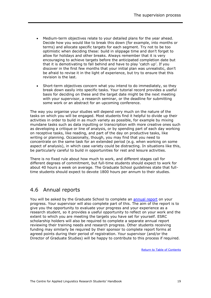- Medium-term objectives relate to your detailed plans for the year ahead. Decide how you would like to break this down (for example, into months or terms) and allocate specific targets for each segment. Try not to be too optimistic when deciding these: build in slippage time and don't forget to allow for holidays and other breaks. Always remember that it is very encouraging to achieve targets before the anticipated completion date but that it is demotivating to fall behind and have to play 'catch up'. If you discover in the first few months that your initial plan was unrealistic, don't be afraid to revise it in the light of experience, but try to ensure that this revision is the last.
- Short-term objectives concern what you intend to do immediately, so they break down easily into specific tasks. Your tutorial record provides a useful basis for deciding on these and the target date might be the next meeting with your supervisor, a research seminar, or the deadline for submitting some work or an abstract for an upcoming conference.

The way you organise your studies will depend very much on the nature of the tasks on which you will be engaged. Most students find it helpful to divide up their activities in order to build in as much variety as possible, for example by mixing mundane tasks such as data inputting or transcription with more creative ones such as developing a critique or line of analysis, or by spending part of each day working on receptive tasks, like reading, and part of the day on productive tasks, like writing or planning. Occasionally, though, you may find that you need to concentrate on the same task for an extended period (e.g. when working on some aspect of analysis), in which case variety could be distracting. In situations like this, be particularly careful to build in opportunities for rest and leisure activities.

There is no fixed rule about how much to work, and different stages call for different degrees of commitment, but full-time students should expect to work for about 40 hours a week on average. The Graduate School guidelines state that fulltime students should expect to devote 1800 hours per annum to their studies.

## <span id="page-21-0"></span>4.6 Annual reports

You will be asked by the Graduate School to complete an [annual](http://www2.warwick.ac.uk/services/academicoffice/gsp/guidingyouthrough/guidelines/studentprogress/annualreport/) report on your progress. Your supervisor will also complete part of this. The aim of the report is to give you the opportunity to evaluate your progress and your experience as a research student, so it provides a useful opportunity to reflect on your work and the extent to which you are meeting the targets you have set for yourself. ESRC scholarship holders will also be required to complete a separate annual report reviewing their training needs and research progress. Other students receiving funding may similarly be required by their sponsor to complete report forms at agreed points during their period of registration. Your supervisor (and/or the Director of Graduate Studies) will be happy to contribute to this process if required.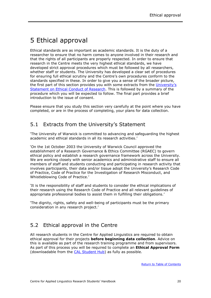## <span id="page-22-0"></span>5 Ethical approval

Ethical standards are as important as academic standards. It is the duty of a researcher to ensure that no harm comes to anyone involved in their research and that the rights of all participants are properly respected. In order to ensure that research in the Centre meets the very highest ethical standards, we have developed strict approval procedures which must be followed by all researchers, whether staff or students. The University has developed a clear set of procedures for ensuring full ethical scrutiny and the Centre's own procedures conform to the standards specified in these. In order to give you a sense of the broader picture, the first part of this section provides you with some extracts from the [Universi](http://www2.warwick.ac.uk/services/ris/research_integrity/code_of_practice_and_policies/statement_ethical_conduct_research)ty's [Statement on Ethical Conduct of Research.](http://www2.warwick.ac.uk/services/ris/research_integrity/code_of_practice_and_policies/statement_ethical_conduct_research) This is followed by a summary of the procedure which you will be expected to follow. The final part provides a brief introduction to the issue of consent.

Please ensure that you study this section very carefully at the point where you have completed, or are in the process of completing, your plans for data collection.

### <span id="page-22-1"></span>5.1 Extracts from the University's Statement

'The University of Warwick is committed to advancing and safeguarding the highest academic and ethical standards in all its research activities.'

'On the 1st October 2003 the University of Warwick Council approved the establishment of a [Research](http://www2.warwick.ac.uk/services/rss/researchgovernance_ethics/research_code_of_practice/researchethicscommittees/university_res_ethicscommittee/) Governance & Ethics Committee (RGAEC) to govern ethical policy and establish a research governance framework across the University. We are working closely with senior academics and administrative staff to ensure all members of staff and students conducting and participating in research activity that involves participants, their data and/or tissue adopt the University's [Research Code](http://www2.warwick.ac.uk/services/rss/research_code_of_practice/)  [of Practice,](http://www2.warwick.ac.uk/services/rss/research_code_of_practice/) [Code of Practice for the Investigation of Research Misconduct,](http://www2.warwick.ac.uk/services/rss/research_code_of_practice/research_misconduct) and [Whistleblowing Code of Practice.](http://www2.warwick.ac.uk/services/gov/complaintsandfeedback/whistleblowing)'

'It is the responsibility of staff and students to consider the ethical implications of their research using the [Research Code of Practice](http://www2.warwick.ac.uk/services/rss/research_code_of_practice/) and all relevant guidelines of appropriate professional bodies to assist them in fulfilling their obligations.'

'The dignity, rights, safety and well-being of participants must be the primary consideration in any research project.'

## <span id="page-22-2"></span>5.2 Ethical approval in the Centre

All research students in the Centre for Applied Linguistics are required to obtain ethical approval for their projects **before beginning data collection**. Advice on this is available as part of the research training programme and from supervisors. As part of this process you will be required to complete an **Ethical Approval Form** (downloadable from the [CAL Student Hub\)](http://www2.warwick.ac.uk/fac/soc/al/intranet/research/current_students/) as fully as possible.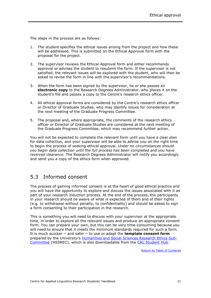The steps in the process are as follows:

- 1. The student specifies the ethical issues arising from the project and how these will be addressed. This is submitted on the Ethical Approval form with the proposal for the project.
- 2. The supervisor reviews the Ethical Approval form and either recommends approval or advises the student to resubmit the form. If the supervisor is not satisfied, the relevant issues will be explored with the student, who will then be asked to revise the form in line with the supervisor's recommendations.
- 3. When the form has been signed by the supervisor, he or she passes an **electronic copy** to the Research Degrees Administrator, who places it on the student's file and passes a copy to the Centre's research ethics officer.
- 4. All ethical approval forms are considered by the Centre's research ethics officer or Director of Graduate Studies, who may identify issues for consideration at the next meeting of the Graduate Progress Committee.
- 5. The proposal and, where appropriate, the comments of the research ethics officer or Director of Graduate Studies are considered at the next meeting of the Graduate Progress Committee, which may recommend further action.

You will not be expected to complete the relevant form until you have a clear plan for data collection, and your supervisor will be able to advise you on the right time to begin the process of seeking ethical approval. *Under no circumstances should you begin data collection until the full process has been completed and you have received clearance.* The Research Degrees Administrator will notify you accordingly and send you a copy of the ethics form when approved.

## <span id="page-23-0"></span>5.3 Informed consent

The process of gaining informed consent is at the heart of good ethical practice and you will have the opportunity to explore and discuss the issues associated with it as part of your research induction process. At the end of the process, the participants in your research should be aware of what is expected of them and of their rights (e.g. to withdrawal without penalty, to confidentiality) and should be asked to sign a form consenting to their participation in the research.

This is something you will need to discuss with your supervisor at the appropriate time, in order to explore all the relevant issues and produce an appropriate consent form. You can prepare your own, but this can be very time-consuming because you will need to ensure that it meets the minimum standards required for such a form. It is much quicker ─ and safer ─ to use or adapt the **template consent form** prepared by the University's [Humanities and Social Sciences Research Ethics Sub-](http://www2.warwick.ac.uk/services/ris/research_integrity/researchethicscommittees/hssrec/apply/)[Committee](http://www2.warwick.ac.uk/services/ris/research_integrity/researchethicscommittees/hssrec/apply/) (HSSREC), which is also downloadable from the [CAL Student Hub.](http://www2.warwick.ac.uk/fac/soc/al/intranet/research/current_students/)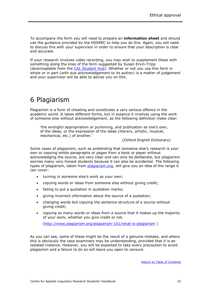To accompany the form you will need to prepare an **information sheet** and should use the guidance provided by the HSSREC to help you do this. Again, you will need to discuss this with your supervisor in order to ensure that your description is clear and accurate.

If your research involves video recording, you may wish to supplement these with something along the lines of the form suggested by Susan Ervin-Tripp (downloadable from the [CAL Student Hub\)](http://www2.warwick.ac.uk/fac/soc/al/intranet/research/current_students/). Whether or not you use this form in whole or in part (with due acknowledgement to its author) is a matter of judgement and your supervisor will be able to advise you on this.

## <span id="page-24-0"></span>6 Plagiarism

Plagiarism is a form of cheating and constitutes a very serious offence in the academic world. It takes different forms, but in essence it involves using the work of someone else without acknowledgement, as the following definition make clear:

'the wrongful appropriation or purloining, and publication as one's own, of the ideas, or the expression of the ideas (literary, artistic, musical, mechanical, etc.) of another.'

(Oxford English Dictionary)

Some cases of plagiarism, such as pretending that someone else's research is your own or copying whole paragraphs or pages from a book or paper without acknowledging the source, are very clear and can only be deliberate, but plagiarism worries many very honest students because it can also be accidental. The following types of plagiarism, taken from [plagiarism.org,](http://www.plagiarism.org/) will give you an idea of the range it can cover:

- turning in someone else's work as your own;
- copying words or ideas from someone else without giving credit;
- failing to put a quotation in quotation marks;
- giving incorrect information about the source of a quotation;
- changing words but copying the sentence structure of a source without giving credit;
- copying so many words or ideas from a source that it makes up the majority of your work, whether you give credit or not.

[\(http://www.plagiarism.org/plagiarism-101/what-is-plagiarism](http://www.plagiarism.org/plagiarism-101/what-is-plagiarism) )

As you can see, some of these might be the result of a genuine mistake, and where this is obviously the case examiners may be understanding, provided that it is an isolated instance. However, you will be expected to take every precaution to avoid plagiarism and a failure to do so will leave you open to censure.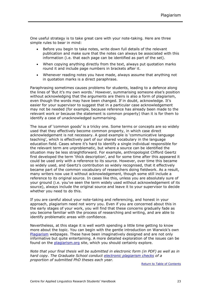One useful strategy is to take great care with your note-taking. Here are three simple rules to bear in mind:

- Before you begin to take notes, write down full details of the relevant publication and make sure that the notes can always be associated with this information (i.e. that each page can be identified as part of the set).
- When copying anything directly from the text, always put quotation marks round it and include page numbers in brackets after it.
- Whenever reading notes you have made, always assume that anything not in quotation marks is a direct paraphrase.

Paraphrasing sometimes causes problems for students, leading to a defence along the lines of 'But it's my own words.' However, summarising someone else's position without acknowledging that the arguments are theirs is also a form of plagiarism, even though the words may have been changed. If in doubt, acknowledge. It's easier for your supervisor to suggest that in a particular case acknowledgement may not be needed (for example, because reference has already been made to the relevant work or because the statement is common property) than it is for them to identify a case of unacknowledged summarising.

The issue of 'common goods' is a tricky one. Some terms or concepts are so widely used that they effectively become common property, in which case direct acknowledgement is not necessary. A good example is 'communicative language teaching', which is effectively part of our shared vocabulary in the language education field. Cases where it's hard to identify a single individual responsible for the relevant term are unproblematic, but where a source can be identified the situation may be less straightforward. For example, anthropologist Clifford Geertz first developed the term 'thick description', and for some time after this appeared it could be used only with a reference to its source. However, over time this became so widely used, and Geertz's contribution so widely recognised, that it effectively became part of the common vocabulary of researchers doing fieldwork. As a result, many writers now use it without acknowledgement, though some still include a reference to its original source. In cases like this, unless you are absolutely sure of your ground (i.e. you've seen the term widely used without acknowledgement of its source), always include the original source and leave it to your supervisor to decide whether you need to do this.

If you are careful about your note-taking and referencing, and honest in your approach, plagiarism need not worry you. Even if you are concerned about this in the early stages of your work, you will find that these concerns gradually fade as you become familiar with the process of researching and writing, and are able to identify problematic areas with confidence.

Nevertheless, at this stage it is well worth spending a little time getting to know more about the topic. You can begin with the gentle introduction on Warwick's own [Plagiarism](http://web.warwick.ac.uk/services/elearning/plato/plagiarism/menuplag.html) webpages. These have been imaginatively designed and are not only informative but quite entertaining. A more detailed exploration of the issues can be found on the *plagiarism.org* site, which you should certainly explore.

*Note that your final thesis will be submitted in electronic form (in PDF) as well as in hard copy. The Graduate School conduct [electronic plagiarism checks](http://www2.warwick.ac.uk/services/academicoffice/gsp/guidingyouthrough/guidelines/submissionsexaminations/infoforstudents/plagarismchecking) of a proportion of submitted PhD theses each year.*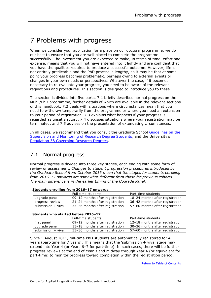## <span id="page-26-0"></span>7 Problems with progress

When we consider your application for a place on our doctoral programme, we do our best to ensure that you are well placed to complete the programme successfully. The investment you are expected to make, in terms of time, effort and expense, means that you will not have entered into it lightly and are confident that you have the qualities required to produce a successful outcome. However, life is not entirely predictable and the PhD process is lengthy, so it may be that at some point your progress becomes problematic, perhaps owing to external events or changes in your own needs or perspectives. Whatever the case, if it becomes necessary to re-evaluate your progress, you need to be aware of the relevant regulations and procedures. This section is designed to introduce you to these.

The section is divided into five parts. 7.1 briefly describes normal progress on the MPhil/PhD programme, further details of which are available in the relevant sections of this handbook. 7.2 deals with situations where circumstances mean that you need to withdraw temporarily from the programme or where you need an extension to your period of registration. 7.3 explains what happens if your progress is regarded as unsatisfactory. 7.4 discusses situations where your registration may be terminated, and 7.5 advises on the presentation of extenuating circumstances.

In all cases, we recommend that you consult the Graduate School [Guidelines on the](http://www2.warwick.ac.uk/services/academicoffice/gsp/formslibrary/guidelines_on_supervision_and_monitoring_-_updated_july_2016.pdf)  [Supervision and Monitoring of Research Degree Students](http://www2.warwick.ac.uk/services/academicoffice/gsp/formslibrary/guidelines_on_supervision_and_monitoring_-_updated_july_2016.pdf), and the University's [Regulation 38 Governing Research Degrees.](http://www2.warwick.ac.uk/services/gov/calendar/section2/regulations/reg38pgr/)

## <span id="page-26-1"></span>7.1 Normal progress

Normal progress is divided into three key stages, each ending with some form of review or assessment. *Changes to student progression procedures introduced by the Graduate School from October 2016 mean that the stages for students enrolling from 2016–17 onwards are somewhat different from those for previous cohorts. The main difference is in the earlier timing of the Upgrade Panel.*

| Students enrolling from 2016-17 onwards |
|-----------------------------------------|
|-----------------------------------------|

|                     | Full-time students              | Part-time students              |  |  |
|---------------------|---------------------------------|---------------------------------|--|--|
| upgrade panel       | 09–12 months after registration | 18-24 months after registration |  |  |
| progress review     | 21-24 months after registration | 36-42 months after registration |  |  |
| submission $+$ viva | 33-36 months after registration | 57-60 months after registration |  |  |

#### **Students who started before 2016–17**

|                   | Full-time students              | Part-time students              |
|-------------------|---------------------------------|---------------------------------|
| first panel       | 09-12 months after registration | 12-18 months after registration |
| upgrade panel     | 15-18 months after registration | 30-36 months after registration |
| submission + viva | 33-36 months after registration | 57-60 months after registration |

Since 1 August 2011, full-time PhD students are automatically registered for 4 years (part-time for 7 years). This means that the 'submission + viva' stage may extend into Year 4 (or Years 6–7 for part-time). In such cases, there will be further progress reviews at the end of Year 3 and midway through Year 4 (or equivalent for part-time) to monitor progress toward completion within the registration period.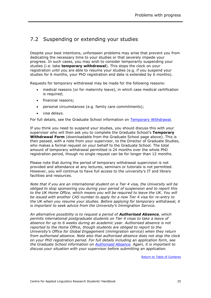## <span id="page-27-0"></span>7.2 Suspending or extending your studies

Despite your best intentions, unforeseen problems may arise that prevent you from dedicating the necessary time to your studies or that severely impede your progress. In such cases, you may wish to consider temporarily suspending your studies (i.e. take **temporary withdrawal**). This stops the clock on your registration until you are able to resume your studies (e.g. if you suspend your studies for 6 months, your PhD registration end date is extended by 6 months).

Requests for temporary withdrawal may be made for the following reasons:

- medical reasons (or for maternity leave), in which case medical certification is required;
- financial reasons;
- personal circumstances (e.g. family care commitments);
- visa delays.

For full details, see the Graduate School information on [Temporary Withdrawal.](http://www2.warwick.ac.uk/services/academicoffice/gsp/guidingyouthrough/guidelines/studentprogress/suspendingyourstudies/temporarywithdrawal)

If you think you need to suspend your studies, you should discuss this with your supervisor who will then ask you to complete the Graduate School's **Temporary Withdrawal Form** (downloadable from the Graduate School page above). This is then passed, with a note from your supervisor, to the Director of Graduate Studies, who makes a formal request on your behalf to the Graduate School. The total amount of temporary withdrawal permitted is 24 months over the whole PhD registration period, though no single request can be for longer than 12 months.

Please note that during the period of temporary withdrawal supervision is not provided and attendance at any lectures, seminars or tutorials is not permitted. However, you will continue to have full access to the university's IT and library facilities and resources.

*Note that if you are an international student on a Tier 4 visa, the University will be obliged to stop sponsoring you during your period of suspension and to report this to the UK Home Office, which means you will be required to leave the UK. You will be issued with another CAS number to apply for a new Tier 4 visa for re-entry to the UK when you resume your studies. Before applying for temporary withdrawal, it is important to seek advice from the University's Immigration Service.*

*An alternative possibility is to request a period of Authorised Absence, which permits international postgraduate students on Tier 4 visas to take a leave of absence for up to 6 weeks during an academic year. Authorised absence is not reported to the Home Office, though students are obliged to report to the University's Office for Global Engagement (immigration service) when they return from authorised absence. Note also that authorised absence does not stop the clock on your PhD registration period. For full details including an application form, see the Graduate School information on [Authorised Absence.](http://www2.warwick.ac.uk/services/academicoffice/gsp/guidingyouthrough/guidelines/studentprogress/suspendingyourstudies/authorisedabsence/) Again, it is important to discuss your situation with your supervisor before submitting an application.*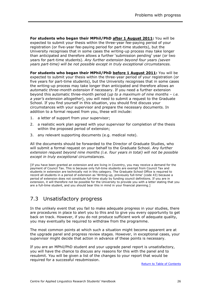**For students who began their MPhil/PhD after 1 August 2011:** You will be expected to submit your thesis within the three-year fee-paying period of your registration (or five-year fee-paying period for part-time students), but the University recognises that in some cases the writing-up process may take longer than anticipated and therefore allows a further 'submission pending' year (or two years for part-time students). *Any further extension beyond four years (seven years part-time) will be not possible except in truly exceptional circumstances.*

For students who began their MPhil/PhD before 1 August 2011: You will be expected to submit your thesis within the three-year period of your registration (or five years for part-time students), but the University recognises that in some cases the writing-up process may take longer than anticipated and therefore allows an *automatic three-month extension* if necessary. If you need a further extension beyond this automatic three-month period (*up to a maximum of nine months – i.e. a year's extension altogether*), you will need to submit a request to the Graduate School. If you find yourself in this situation, you should first discuss your circumstances with your supervisor and prepare the necessary documents. In addition to a formal request from you, these will include:

- 1. a letter of support from your supervisor;
- 2. a realistic work plan agreed with your supervisor for completion of the thesis within the proposed period of extension;
- 3. any relevant supporting documents (e.g. medical note).

All the documents should be forwarded to the Director of Graduate Studies, who will submit a formal request on your behalf to the Graduate School. *Any further extension request beyond nine months (i.e. four years in total) will not be possible except in truly exceptional circumstances.*

[If you have been granted an extension and are living in Coventry, you may receive a demand for the payment of Council Tax. This is because only full-time students are exempt from Council Tax and students in extension are technically not in this category. The Graduate School Office is required to record all students in a period of extension as 'Writing-up, previously full-time' (code 43) because a period of extension does not constitute full-time study by funding council definitions. If you are in extension, it will therefore not be possible for the University to provide you with a letter stating that you are a full-time student, and you should bear this in mind in your financial planning.]

## <span id="page-28-0"></span>7.3 Unsatisfactory progress

In the unlikely event that you fail to make adequate progress in your studies, there are procedures in place to alert you to this and to give you every opportunity to get back on track. However, if you do not produce sufficient work of adequate quality, you may eventually be required to withdraw from the programme.

The most common points at which such a situation might become apparent are at the upgrade panel and progress review stages. However, in exceptional cases, your supervisor might decide that action in advance of these points is necessary.

If you are an MPhil/PhD student and your upgrade panel report is unsatisfactory, you will have the chance to discuss any reasons for this with the panel and to resubmit. You will be given a list of the changes to your report that would be required for a successful resubmission.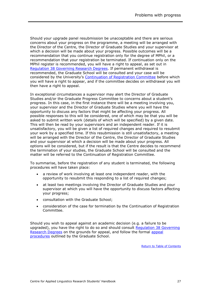Should your upgrade panel resubmission be unacceptable and there are serious concerns about your progress on the programme, a meeting will be arranged with the Director of the Centre, the Director of Graduate Studies and your supervisor at which a decision will be made about your progress. Possible outcomes will be a recommendation that you continue registration only for the degree of MPhil, or a recommendation that your registration be terminated. If continuation only on the MPhil register is recommended, you will have a right to appeal, as set out in [Regulation 38 Governing Research Degrees.](http://www2.warwick.ac.uk/services/gov/calendar/section2/regulations/reg38pgr/) If permanent withdrawal is recommended, the Graduate School will be consulted and your case will be considered by the University's [Continuation of Registration Committee](http://www2.warwick.ac.uk/services/academicoffice/gsp/guidingyouthrough/guidelines/studentprogress/crc) before which you will have a right to appear, and if the committee decides on withdrawal you will then have a right to appeal.

In exceptional circumstances a supervisor may alert the Director of Graduate Studies and/or the Graduate Progress Committee to concerns about a student's progress. In this case, in the first instance there will be a meeting involving you, your supervisor and the Director of Graduate Studies where you will have the opportunity to discuss any factors that might be affecting your progress. All possible responses to this will be considered, one of which may be that you will be asked to submit written work (details of which will be specified) by a given date. This will then be read by your supervisors and an independent reader. If it is unsatisfactory, you will be given a list of required changes and required to resubmit your work by a specified time. If this resubmission is still unsatisfactory, a meeting will be arranged with the Director of the Centre, the Director of Graduate Studies and your supervisor at which a decision will be made about your progress. All options will be considered, but if the result is that the Centre decides to recommend the termination of your studies, the Graduate School will be consulted and the matter will be referred to the Continuation of Registration Committee.

To summarise, before the registration of any student is terminated, the following procedures will have taken place:

- a review of work involving at least one independent reader, with the opportunity to resubmit this responding to a list of required changes;
- at least two meetings involving the Director of Graduate Studies and your supervisor at which you will have the opportunity to discuss factors affecting your progress;
- consultation with the Graduate School;
- consideration of the case for termination by the Continuation of Registration Committee.

Should you wish to appeal against an academic decision (e.g. a failure to be upgraded), you have the right to do so and should consult [Regulation 38 Governing](http://www2.warwick.ac.uk/services/gov/calendar/section2/regulations/reg38pgr/)  [Research Degrees](http://www2.warwick.ac.uk/services/gov/calendar/section2/regulations/reg38pgr/) on the grounds for appeal, and follow the formal [appeal](https://www2.warwick.ac.uk/services/academicoffice/gsp/guidingyouthrough/guidelines/afteryourexaminations/appeals/)  [procedures](https://www2.warwick.ac.uk/services/academicoffice/gsp/guidingyouthrough/guidelines/afteryourexaminations/appeals/) outlined by the Graduate School.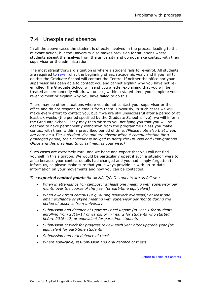## <span id="page-30-0"></span>7.4 Unexplained absence

In all the above cases the student is directly involved in the process leading to the relevant action, but the University also makes provision for situations where students absent themselves from the university and do not make contact with their supervisor or the administration.

The most straightforward situation is where a student fails to re-enrol. All students are required to [re-enrol](http://www2.warwick.ac.uk/services/academicoffice/ourservices/enrolment/continuing) at the beginning of each academic year, and if you fail to do this the Graduate School will contact the Centre. If neither the office nor your supervisor has been able to contact you and cannot explain why you have not reenrolled, the Graduate School will send you a letter explaining that you will be treated as permanently withdrawn unless, within a stated time, you complete your re-enrolment or explain why you have failed to do this.

There may be other situations where you do not contact your supervisor or the office and do not respond to emails from them. Obviously, in such cases we will make every effort to contact you, but if we are still unsuccessful after a period of at least six weeks (the period specified by the Graduate School is five), we will inform the Graduate School. They may then write to you notifying you that you will be deemed to have permanently withdrawn from the programme unless you make contact with them within a prescribed period of time. *(Please note also that if you are here on a Tier 4 student visa and are absent without communication for a prolonged period, the University is obliged to notify the UK Visa and Immigrations Office and this may lead to curtailment of your visa.)*

Such cases are extremely rare, and we hope and expect that you will not find yourself in this situation. We would be particularly upset if such a situation were to arise because your contact details had changed and you had simply forgotten to inform us, so please make sure that you always provide us with up-to-date information on your movements and how you can be contacted.

*The expected contact points for all MPhil/PhD students are as follows:*

- *When in attendance (on campus): at least one meeting with supervisor per month over the course of the year (or part-time equivalent)*
- *When away from campus (e.g. during fieldwork overseas): at least one email exchange or skype meeting with supervisor per month during the period of absence from university*
- *Submission and defence of Upgrade Panel Report (in Year 1 for students enrolling from 2016–17 onwards, or in Year 2 for students who started before 2016–17, or equivalent for part-time students)*
- *Submission of work for progress review each year after upgrade year (or equivalent for part-time students)*
- *Submission and oral defence of thesis*
- *Where applicable, resubmission and oral defence of thesis*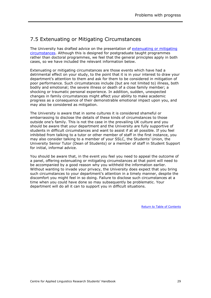## <span id="page-31-0"></span>7.5 Extenuating or Mitigating Circumstances

The University has drafted advice on the presentation of [extenuating or mitigating](https://www2.warwick.ac.uk/services/aro/dar/quality/categories/examinations/policies/u_mitigatingcircumstances/)  [circumstances.](https://www2.warwick.ac.uk/services/aro/dar/quality/categories/examinations/policies/u_mitigatingcircumstances/) Although this is designed for postgraduate taught programmes rather than doctoral programmes, we feel that the general principles apply in both cases, so we have included the relevant information below.

Extenuating or mitigating circumstances are those events which have had a detrimental effect on your study, to the point that it is in your interest to draw your department's attention to them and ask for them to be considered in mitigation of poor performance. Such circumstances include (but are not limited to) illness, both bodily and emotional; the severe illness or death of a close family member; a shocking or traumatic personal experience. In addition, sudden, unexpected changes in family circumstances might affect your ability to make academic progress as a consequence of their demonstrable emotional impact upon you, and may also be considered as mitigation.

The University is aware that in some cultures it is considered shameful or embarrassing to disclose the details of these kinds of circumstances to those outside one's family. This is not the case in the prevailing UK culture and you should be aware that your department and the University are fully supportive of students in difficult circumstances and want to assist if at all possible. If you feel inhibited from talking to a tutor or other member of staff in the first instance, you may also consider talking to a member of your SSLC, the Students' Union, the University Senior Tutor (Dean of Students) or a member of staff in Student Support for initial, informal advice.

You should be aware that, in the event you feel you need to appeal the outcome of a panel, offering extenuating or mitigating circumstances at that point will need to be accompanied by a good reason why you withheld the information earlier. Without wanting to invade your privacy, the University does expect that you bring such circumstances to your department's attention in a timely manner, despite the discomfort you might feel in so doing. Failure to disclose such circumstances at a time when you could have done so may subsequently be problematic. Your department will do all it can to support you in difficult situations.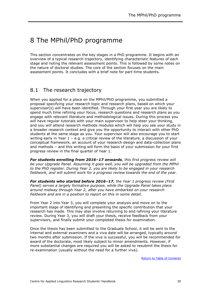## <span id="page-32-0"></span>8 The MPhil/PhD programme

This section concentrates on the key stages in a PhD programme. It begins with an overview of a typical research trajectory, identifying characteristic features of each stage and noting the relevant assessment points. This is followed by some notes on the nature of doctoral studies. The core of the section focuses on the main assessment points. It concludes with a brief note for part-time students.

### <span id="page-32-1"></span>8.1 The research trajectory

When you applied for a place on the MPhil/PhD programme, you submitted a proposal specifying your research topic and research plans, based on which your supervisor(s) will have been identified. Through your first year you are likely to spend much time refining your focus, research questions and research plans as you engage with relevant literature and methodological issues. During this process you will have regular tutorials with your main supervisor to help steer your thinking, and you will attend research methods modules which will help you see your study in a broader research context and give you the opportunity to interact with other PhD students at the same stage as you. Your supervisor will also encourage you to start writing early in Year 1 – e.g. a critical review of the literature, a discussion of your conceptual framework, an account of your research design and data-collection plans and methods – and this writing will form the basis of your submission for your first progress review in the final quarter of Year 1.

*For students enrolling from 2016–17 onwards, this first progress review will be your Upgrade Panel. Assuming it goes well, you will be upgraded from the MPhil to the PhD register. During Year 2, you are likely to be engaged in your research fieldwork, and will submit work for a progress review towards the end of the year.*

*For students who started before 2016–17, the Year 1 progress review (First Panel) serves a largely formative purpose, while the Upgrade Panel takes place around midway through Year 2, after you have embarked on your research fieldwork and are in a position to report on this in some detail.*

From Year 2 into Year 3, you will complete your analysis and move on to the important stage of identifying and presenting the specific contribution that your research has made. This may also involve returning to and refining your literature review. During Year 3, you will draft your thesis, receive feedback from your supervisors, and finally submit your completed thesis for examination.

Once the thesis has been submitted to the Graduate School, it will be sent to the internal and external examiners and a viva date will be arranged, typically around two months after submission. If the viva is successful, you will be recommended for award of the doctorate, most likely subject to minor amendments. However, if more substantial changes are required you will be asked to resubmit the thesis for re-examination (usually without the need for a further viva).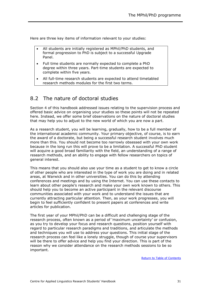Here are three key items of information relevant to your studies:

- All students are initially registered as MPhil/PhD students, and formal progression to PhD is subject to a successful Upgrade Panel.
- Full time students are normally expected to complete a PhD degree within three years. Part-time students are expected to complete within five years.
- All full-time research students are expected to attend timetabled research methods modules for the first two terms.

## <span id="page-33-0"></span>8.2 The nature of doctoral studies

Section 4 of this handbook addressed issues relating to the supervision process and offered basic advice on organising your studies so these points will not be repeated here. Instead, we offer some brief observations on the nature of doctoral studies that may help you to adjust to the new world of which you are now a part.

As a research student, you will be learning, gradually, how to be a full member of the international academic community. Your primary objective, of course, is to earn the award of a doctorate, but being a successful research student involves much more than this. You should not become too narrowly obsessed with your own work because in the long run this will prove to be a limitation. A successful PhD student will acquire a good broad familiarity with the field, an understanding of a range of research methods, and an ability to engage with fellow researchers on topics of general interest.

This means that you should also use your time as a student to get to know a circle of other people who are interested in the type of work you are doing and in related areas, at Warwick and in other universities. You can do this by attending conferences and meetings and by using the Internet. You can use these contacts to learn about other people's research and make your own work known to others. This should help you to become an active participant in the relevant discourse communities associated with your work and to understand the issues that are currently attracting particular attention. Then, as your work progresses, you will begin to feel sufficiently confident to present papers at conferences and write articles for publication.

The first year of your MPhil/PhD can be a difficult and challenging stage of the research process, often known as a period of 'maximum uncertainty' or confusion, as you try to develop your focus and research questions, position yourself with regard to particular research paradigms and traditions, and articulate the methods and techniques you will use to address your questions. This initial stage of the research process can feel like a lonely struggle, though of course your supervisors will be there to offer advice and help you find your direction. This is part of the reason why we consider attendance on the research methods sessions to be so important.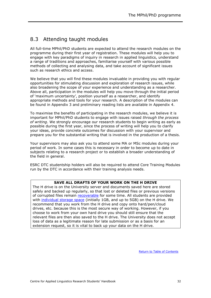## <span id="page-34-0"></span>8.3 Attending taught modules

All full-time MPhil/PhD students are expected to attend the research modules on the programme during their first year of registration. These modules will help you to engage with key paradigms of inquiry in research in applied linguistics, understand a range of traditions and approaches, familiarise yourself with various possible methods of collecting and analysing data, and take account of significant issues such as research ethics and access.

We believe that you will find these modules invaluable in providing you with regular opportunities for stimulating discussion and exploration of research issues, while also broadening the scope of your experience and understanding as a researcher. Above all, participation in the modules will help you move through the initial period of 'maximum uncertainty', position yourself as a researcher, and identify appropriate methods and tools for your research. A description of the modules can be found in Appendix 3 and preliminary reading lists are available in Appendix 4.

To maximise the benefits of participating in the research modules, we believe it is important for MPhil/PhD students to engage with issues raised *through the process of writing*. We strongly encourage our research students to begin writing as early as possible during the first year, since the process of writing will help you to clarify your ideas, provide concrete outcomes for discussion with your supervisor and prepare you for the substantial writing that is involved in the production of a thesis.

Your supervisors may also ask you to attend some MA or MSc modules during your period of work. In some cases this is necessary in order to become up to date in subjects relating to a research project or to establish a broader understanding of the field in general.

ESRC DTC studentship holders will also be required to attend Core Training Modules run by the DTC in accordance with their training analysis needs.

#### **SAVE ALL DRAFTS OF YOUR WORK ON THE H DRIVE**

The H drive is on the University server and documents saved here are stored safely and backed up regularly, so that lost or deleted files or previous versions of corrupted files remain [recoverable](http://www2.warwick.ac.uk/services/its/servicessupport/datastorage/accessfilestore/previousversions) for some time. All students are provided with [individual storage space](http://www2.warwick.ac.uk/services/its/servicessupport/datastorage/student_fs) (initially 1GB, and up to 5GB) on the H drive. We recommend that you work from the H drive and copy onto hard/pen/cloud drives, etc. because this is the most secure way of working. However, if you choose to work from your own hard drive you should still ensure that the relevant files are then also saved to the H drive. The University does not accept loss of data as a legitimate reason for late submission or as a basis for an extension request, so it is vital to back up your data on the H drive.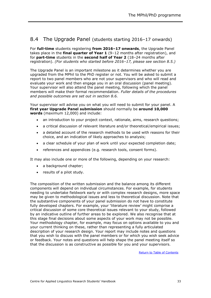### <span id="page-35-0"></span>8.4 The Upgrade Panel (students starting 2016–17 onwards)

For **full-time** students registering **from 2016–17 onwards**, the Upgrade Panel takes place in the **final quarter of Year 1** (9–12 months after registration), and for **part-time** students in the **second half of Year 2** (18–24 months after registration). *(For students who started before 2016–17, please see section 8.5.)*

The Upgrade Panel is an important milestone as it determines whether you are upgraded from the MPhil to the PhD register or not. You will be asked to submit a report to two panel members who are not your supervisors and who will read and evaluate your work and then engage you in an oral discussion (panel meeting). Your supervisor will also attend the panel meeting, following which the panel members will make their formal recommendation. *Fuller details of the procedures and possible outcomes are set out in section 8.6.*

Your supervisor will advise you on what you will need to submit for your panel. A **first year Upgrade Panel submission** should normally be **around 10,000 words** (maximum 12,000) and include:

- an introduction to your project context, rationale, aims, research questions;
- a critical discussion of relevant literature and/or theoretical/empirical issues;
- a detailed account of the research methods to be used with reasons for their choice, and an indication of likely approaches to analysis;
- a clear schedule of your plan of work until your expected completion date;
- references and appendices (e.g. research tools, consent forms).

It may also include one or more of the following, depending on your research:

- a background chapter;
- results of a pilot study.

The composition of the written submission and the balance among its different components will depend on individual circumstances. For example, for students needing to undertake fieldwork early or with complex research designs, more space may be given to methodological issues and less to theoretical discussion. Note that the substantive components of your panel submission do not have to constitute fully developed chapters. For example, your 'literature review' might comprise a critical discussion of some core theoretical issues relevant to your study, followed by an indicative outline of further areas to be explored. We also recognise that at this stage final decisions about some aspects of your work may not be possible. Your methodology chapter, for example, may focus on options available to you and your current thinking on these, rather than representing a fully articulated description of your research design. Your report may include notes and questions that you wish to discuss with the panel members or for which you wish seek advice or feedback. Your notes and questions will help shape the panel meeting itself so that the discussion is as constructive as possible for you and your supervisors.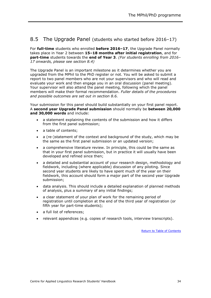#### <span id="page-36-0"></span>8.5 The Upgrade Panel (students who started before 2016–17)

For **full-time** students who enrolled **before 2016–17**, the Upgrade Panel normally takes place in Year 2 between **15–18 months after initial registration**, and for **part-time** students towards the **end of Year 3**. *(For students enrolling from 2016– 17 onwards, please see section 8.4)*

The Upgrade Panel is an important milestone as it determines whether you are upgraded from the MPhil to the PhD register or not. You will be asked to submit a report to two panel members who are not your supervisors and who will read and evaluate your work and then engage you in an oral discussion (panel meeting). Your supervisor will also attend the panel meeting, following which the panel members will make their formal recommendation. *Fuller details of the procedures and possible outcomes are set out in section 8.6.*

Your submission for this panel should build substantially on your first panel report. A **second year Upgrade Panel submission** should normally be **between 20,000 and 30,000 words** and include:

- a statement explaining the contents of the submission and how it differs from the first panel submission;
- a table of contents;
- a (re-)statement of the context and background of the study, which may be the same as the first panel submission or an updated version;
- a comprehensive literature review. In principle, this could be the same as that in your first panel submission, but in practice it will usually have been developed and refined since then;
- a detailed and substantial account of your research design, methodology and fieldwork, including (where applicable) discussion of any piloting. Since second year students are likely to have spent much of the year on their fieldwork, this account should form a major part of the second year Upgrade submission;
- data analysis. This should include a detailed explanation of planned methods of analysis, plus a summary of any initial findings;
- a clear statement of your plan of work for the remaining period of registration until completion at the end of the third year of registration (or fifth year for part-time students);
- a full list of references;
- relevant appendices (e.g. copies of research tools, interview transcripts).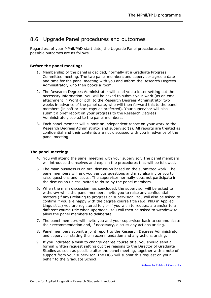## <span id="page-37-0"></span>8.6 Upgrade Panel procedures and outcomes

Regardless of your MPhil/PhD start date, the Upgrade Panel procedures and possible outcomes are as follows.

#### **Before the panel meeting:**

- 1. Membership of the panel is decided, normally at a Graduate Progress Committee meeting. The two panel members and supervisor agree a date and time for the panel meeting with you and inform the Research Degrees Administrator, who then books a room.
- 2. The Research Degrees Administrator will send you a letter setting out the necessary information: you will be asked to submit your work (as an email attachment in Word or pdf) to the Research Degrees Administrator two weeks in advance of the panel date, who will then forward this to the panel members (in soft or hard copy as preferred). Your supervisor will also submit a brief report on your progress to the Research Degrees Administrator, copied to the panel members.
- 3. Each panel member will submit an independent report on your work to the Research Degrees Administrator and supervisor(s). All reports are treated as confidential and their contents are not discussed with you in advance of the panel meeting.

#### **The panel meeting:**

- 4. You will attend the panel meeting with your supervisor. The panel members will introduce themselves and explain the procedures that will be followed.
- 5. The main business is an oral discussion based on the submitted work. The panel members will ask you various questions and may also invite you to raise questions and issues. The supervisor normally does not participate in the discussion unless invited to do so by the panel members.
- 6. When the main discussion has concluded, the supervisor will be asked to withdraw while the panel members invite you to raise any confidential matters (if any) relating to progress or supervision. You will also be asked to confirm if you are happy with the degree course title (e.g. PhD in Applied Linguistics) you are registered for, or if you wish to request a transfer to a different course title when upgraded. You will then be asked to withdraw to allow the panel members to deliberate.
- 7. The panel members will invite you and your supervisor back to communicate their recommendation and, if necessary, discuss any actions arising.
- 8. Panel members submit a joint report to the Research Degrees Administrator and supervisor stating their recommendation and any actions arising.
- 9. If you indicated a wish to change degree course title, you should send a formal written request setting out the reasons to the Director of Graduate Studies as soon as possible after the panel meeting, together with a note of support from your supervisor. The DGS will submit this request on your behalf to the Graduate School.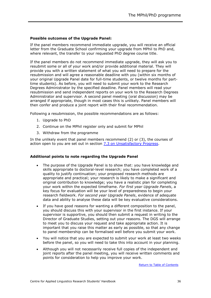#### **Possible outcomes of the Upgrade Panel:**

If the panel members recommend immediate upgrade, you will receive an official letter from the Graduate School confirming your upgrade from MPhil to PhD and, where relevant, the transfer to your requested PhD degree course title.

If the panel members do not recommend immediate upgrade, they will ask you to resubmit some or all of your work and/or provide additional material. They will provide you with a written statement of what you will need to prepare for the resubmission and will agree a reasonable deadline with you (within six months of your original Upgrade Panel date for full-time students, or twelve months for parttime students). As before, you will need to submit your work to the Research Degrees Administrator by the specified deadline. Panel members will read your resubmission and send independent reports on your work to the Research Degrees Administrator and supervisor. A second panel meeting (oral discussion) may be arranged if appropriate, though in most cases this is unlikely. Panel members will then confer and produce a joint report with their final recommendation.

Following a resubmission, the possible recommendations are as follows:

- 1. Upgrade to PhD
- 2. Continue on the MPhil register only and submit for MPhil
- 3. Withdraw from the programme

In the unlikely event that panel members recommend (2) or (3), the courses of action open to you are set out in section [7.3 on Unsatisfactory Progress.](#page-28-0)

#### **Additional points to note regarding the Upgrade Panel**

- The purpose of the Upgrade Panel is to show that: you have knowledge and skills appropriate to doctoral-level research; you have completed work of a quality to justify continuation; your proposed research methods are appropriate and practical; your research is likely to make a significant and original contribution to knowledge; you have a realistic plan for completing your work within the expected timeframe. *For first year Upgrade Panels*, a key focus for evaluation will be your level of preparedness to begin your research fieldwork. *For second year Upgrade Panels*, evidence of adequate data and ability to analyse these data will be key evaluative considerations.
- If you have good reasons for wanting a different composition to the panel, you should discuss this with your supervisor in the first instance. If your supervisor is supportive, you should then submit a request in writing to the Director of Graduate Studies, setting out your reasons. The DGS will arrange to meet you to discuss your request and take appropriate action. It is important that you raise this matter as early as possible, so that any change to panel membership can be formalised well before you submit your work.
- You will notice that you are expected to submit your work at least two weeks before the panel, so you will need to take this into account in your planning.
- Although you will not necessarily receive full copies of the independent and joint reports after the panel meeting, you will receive written comments and points for consideration to help you improve your work.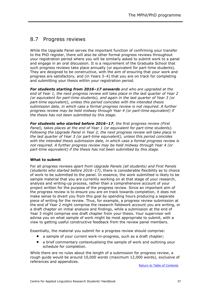### <span id="page-39-0"></span>8.7 Progress reviews

While the Upgrade Panel serves the important function of confirming your transfer to the PhD register, there will also be other formal progress reviews throughout your registration period where you will be similarly asked to submit work to a panel and engage in an oral discussion. It is a requirement of the Graduate School that such progress reviews take place annually (or equivalent for part-time students). They are designed to be constructive, with the aim of ensuring that your work and progress are satisfactory, and (in Years 3–4) that you are on track for completing and submitting your thesis within your registration period.

*For students starting from 2016–17 onwards and who are upgraded at the end of Year 1, the next progress review will take place in the last quarter of Year 2 (or equivalent for part-time students), and again in the last quarter of Year 3 (or part-time equivalent), unless this period coincides with the intended thesis submission date, in which case a formal progress review is not required. A further progress review may be held midway through Year 4 (or part-time equivalent) if the thesis has not been submitted by this stage.*

*For students who started before 2016–17, the first progress review (First Panel), takes places at the end of Year 1 (or equivalent for part-time students). Following the Upgrade Panel in Year 2, the next progress review will take place in the last quarter of Year 3 (or part-time equivalent), unless this period coincides with the intended thesis submission date, in which case a formal progress review is not required. A further progress review may be held midway through Year 4 (or part-time equivalent) if the thesis has not been submitted by this stage.*

#### **What to submit**

For all progress reviews *apart from Upgrade Panels (all students) and First Panels (students who started before 2016–17)*, there is considerable flexibility as to choice of work to be submitted to the panel. In essence, the work submitted is likely to be sample material that you are currently working on at that stage of your research, analysis and writing-up process, rather than a comprehensive account of your project written for the purpose of the progress review. Since an important aim of the progress review is to ensure you are on track towards completion, it does not make sense to divert you from this goal by spending hours producing a separate piece of writing for the review. Thus, for example, a progress review submission at the end of Year 2 might comprise the research fieldwork account you are writing, or a draft chapter on initial analysis and findings, while a submission at the end of Year 3 might comprise one draft chapter from your thesis. Your supervisor will advise you on what sample of work might be most appropriate to submit, with a view to getting useful constructive feedback from the review panel members.

Essentially, the material you submit for a progress review should comprise:

- a sample of your current work-in-progress, such as a draft chapter;
- a brief commentary contextualising the sample of work and outlining your schedule for completion.

While there are no rules about the length of a submission for progress review, a rough guide would be around 10,000 words (maximum 12,000 words), exclusive of references and appendices.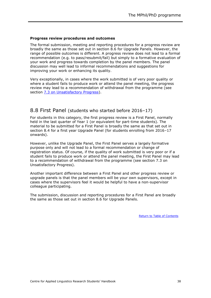#### **Progress review procedures and outcomes**

The formal submission, meeting and reporting procedures for a progress review are broadly the same as those set out in section 8.6 for Upgrade Panels. However, the range of possible outcomes is different. A progress review does not lead to a formal recommendation (e.g. to pass/resubmit/fail) but simply to a formative evaluation of your work and progress towards completion by the panel members. The panel discussion may well lead to informal recommendations and suggestions for improving your work or enhancing its quality.

Very exceptionally, in cases where the work submitted is of very poor quality or where a student fails to produce work or attend the panel meeting, the progress review may lead to a recommendation of withdrawal from the programme (see section [7.3 on Unsatisfactory Progress\)](#page-28-0).

#### <span id="page-40-0"></span>8.8 First Panel (students who started before 2016–17)

For students in this category, the first progress review is a First Panel, normally held in the last quarter of Year 1 (or equivalent for part-time students). The material to be submitted for a First Panel is broadly the same as that set out in section 8.4 for a first year Upgrade Panel (for students enrolling from 2016–17 onwards).

However, unlike the Upgrade Panel, the First Panel serves a largely formative purpose only and will not lead to a formal recommendation or change of registration status. Of course, if the quality of work submitted is very poor or if a student fails to produce work or attend the panel meeting, the First Panel may lead to a recommendation of withdrawal from the programme (see section 7.3 on Unsatisfactory Progress).

Another important difference between a First Panel and other progress review or upgrade panels is that the panel members will be your own supervisors, except in cases where the supervisors feel it would be helpful to have a non-supervisor colleague participating.

The submission, discussion and reporting procedures for a First Panel are broadly the same as those set out in section 8.6 for Upgrade Panels.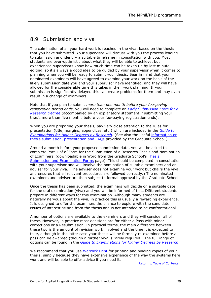## <span id="page-41-0"></span>8.9 Submission and viva

The culmination of all your hard work is reached in the viva, based on the thesis that you have submitted. Your supervisor will discuss with you the process leading to submission and identify a suitable timeframe in consultation with you. Most students are over-optimistic about what they will be able to achieve, but experienced supervisors know how much time can be taken up by last minute editing, so it's always a good idea to be guided by your supervisor when it comes to planning when you will be ready to submit your thesis. Bear in mind that your nominated examiners will have agreed to examine your work on the basis of the likely submission date you and your supervisor have identified, and they will have allowed for the considerable time this takes in their work planning. If your submission is significantly delayed this can create problems for them and may even result in a change of examiners.

Note that if you plan to submit *more than one month before your fee-paying registration period ends*, you will need to complete an *[Early Submission Form for a](http://www2.warwick.ac.uk/services/academicoffice/gsp/formslibrary/early_submission_form_for_a_research_degree.pdf)  [Research Degree](http://www2.warwick.ac.uk/services/academicoffice/gsp/formslibrary/early_submission_form_for_a_research_degree.pdf)* (accompanied by an explanatory statement if submitting your thesis more than five months before your fee-paying registration ends).

When you are preparing your thesis, pay very close attention to the rules for presentation (title, margins, appendices, etc.) which are included in the *[Guide to](http://www2.warwick.ac.uk/services/academicoffice/gsp/formslibrary/guide_to_examinations_for_higher_degrees_by_research.pdf)  [Examinations for Higher Degrees by Research](http://www2.warwick.ac.uk/services/academicoffice/gsp/formslibrary/guide_to_examinations_for_higher_degrees_by_research.pdf)*. (See also the useful [information on](http://www2.warwick.ac.uk/services/academicoffice/gsp/guidingyouthrough/guidelines/submissionsexaminations/infoforstudents)  [thesis submission, presentation and FAQs](http://www2.warwick.ac.uk/services/academicoffice/gsp/guidingyouthrough/guidelines/submissionsexaminations/infoforstudents) provided by the Graduate School.)

Around a month before your proposed submission date, you will be asked to complete Part 1 of a 'Form for the Submission of a Research Thesis and Nomination of Examiners' (downloadable in Word from the Graduate School's Thesis [Submission and Examination Forms](http://www2.warwick.ac.uk/services/academicoffice/gsp/formslibrary/#submissionexamination) page). This should be completed in consultation with your supervisor and will involve the nomination of suitable examiners and an adviser for your viva. (The adviser does not examine your work but chairs the viva and ensures that all relevant procedures are followed correctly.) The nominated examiners and adviser are then subject to formal approval by the Graduate School.

Once the thesis has been submitted, the examiners will decide on a suitable date for the oral examination (viva) and you will be informed of this. Different students prepare in different ways for this examination. Although many students are naturally nervous about the viva, in practice this is usually a rewarding experience. It is designed to offer the examiners the chance to explore with the candidate issues of interest arising from the thesis and is not intended to be confrontational.

A number of options are available to the examiners and they will consider all of these. However, in practice most decisions are for either a Pass with minor corrections or a Resubmission. In practical terms, the main difference between these two is the amount of revision work involved and the time it is expected to take, although in the latter case your thesis will be formally re-examined before a pass can be awarded (though a further viva is rarely required). The full range of options can be found in the *[Guide to Examinations for Higher Degrees by Research](http://www2.warwick.ac.uk/services/academicoffice/gsp/formslibrary/guide_to_examinations_for_higher_degrees_by_research.pdf)*.

We recommend that you use [Warwick Print](http://www2.warwick.ac.uk/services/retail/warwickprint) for printing and binding copies of your thesis, simply because they have extensive experience of the way the systems here work and will be able to offer advice if you need it.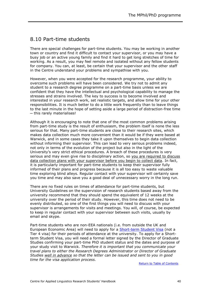## <span id="page-42-0"></span>8.10 Part-time students

There are special challenges for part-time students. You may be working in another town or country and find it difficult to contact your supervisor, or you may have a busy job or an active young family and find it hard to get long stretches of time for working. As a result, you may feel remote and isolated without any fellow students for company. You can, at least, be certain that your supervisor and the other staff in the Centre understand your problems and sympathise with you.

However, when you were accepted for the research programme, your ability to overcome such problems will have been considered. We try not to admit any student to a research degree programme on a part-time basis unless we are confident that they have the intellectual and psychological capability to manage the stresses and strains involved. The key to success is to become involved and interested in your research work, set realistic targets, and allow time for your other responsibilities. It is much better to do a little work frequently than to leave things to the last minute in the hope of setting aside a large period of distraction-free time ─ this rarely materialises!

Although it is encouraging to note that one of the most common problems arising from part-time study is the result of enthusiasm, the problem itself is none the less serious for that. Many part-time students are close to their research sites, which makes data collection much more convenient than it would be if they were based at Warwick, and in some cases they take it upon themselves to begin data collection without informing their supervisor. This can lead to very serious problems indeed, not only in terms of the evolution of the project but also in the light of the University's very strict ethical procedures. A breach of these procedures is very serious and may even give rise to disciplinary action, so you are required to discuss data collection plans with your supervisor before you begin to collect data. In fact, it is particularly important for part-time students to keep their supervisor fully informed of their plans and progress because it is all too easy to waste valuable time exploring blind alleys. Regular contact with your supervisor will certainly save you time and may also save you a good deal of unnecessary worry in the long run.

There are no fixed rules on times of attendance for part-time students, but University Guidelines on the supervision of research students based away from the university recommend that they should spend the equivalent of 12 weeks at the university over the period of their study. However, this time does not need to be evenly distributed, so one of the first things you will need to discuss with your supervisor is arrangements for visits and meetings. You will, of course, be expected to keep in regular contact with your supervisor between such visits, usually by email and skype.

Part-time students who are non-EEA nationals (i.e. from outside the UK and European Economic Area) will need to apply for a [Short-term Student](http://www2.warwick.ac.uk/study/international/immigration/othervisas/studentvisitor) Visa (not a Tier 4 visa) for their periods of attendance at the university. To apply for a Shortterm Student Visa, you will need a formal letter signed by the Director of Graduate Studies confirming your part-time PhD student status and the dates and purpose of your study visit to Warwick. *Therefore it is important that you communicate your travel plans to either the Research Degrees Administrator or Director of Graduate Studies well in advance so that the letter can be issued and sent to you in good time for the visa application process.*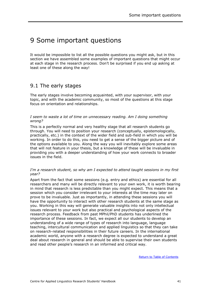## <span id="page-43-0"></span>9 Some important questions

It would be impossible to list all the possible questions you might ask, but in this section we have assembled some examples of important questions that might occur at each stage in the research process. Don't be surprised if you end up asking at least one of these along the way!

### <span id="page-43-1"></span>9.1 The early stages

The early stages involve becoming acquainted, with your supervisor, with your topic, and with the academic community, so most of the questions at this stage focus on orientation and relationships.

*I seem to waste a lot of time on unnecessary reading. Am I doing something wrong?*

This is a perfectly normal and very healthy stage that all research students go through. You will need to position your research (conceptually, epistemologically, practically, etc.) in the context of the wider field and sub-field in which you will be working. In order to do this, you need to get a sense of the bigger picture and of the options available to you. Along the way you will inevitably explore some areas that will not feature in your thesis, but a knowledge of these will be invaluable in providing you with a deeper understanding of how your work connects to broader issues in the field.

#### *I'm a research student, so why am I expected to attend taught sessions in my first year?*

Apart from the fact that some sessions (e.g. entry and ethics) are essential for all researchers and many will be directly relevant to your own work, it is worth bearing in mind that research is less predictable than you might expect. This means that a session which you consider irrelevant to your interests at the time may later on prove to be invaluable. Just as importantly, in attending these sessions you will have the opportunity to interact with other research students at the same stage as you. Working in this way will generate valuable insights into not only intellectual issues relevant to your work but also practical and psychological aspects of the research process. Feedback from past MPhil/PhD students has underlined the importance of these sessions. In fact, we expect all our students to develop an understanding of a wide range of types of research into language, language teaching, intercultural communication and applied linguistics so that they can take on research-related responsibilities in their future careers. In the international academic world, anyone with a research degree is expected to understand a great deal about research in general and should be able to supervise their own students and read other people's research in an informed and critical way.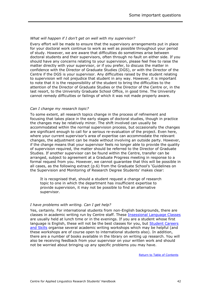#### *What will happen if I don't get on well with my supervisor?*

Every effort will be made to ensure that the supervisory arrangements put in place for your doctoral work continue to work as well as possible throughout your period of study. However, we are aware that difficulties do sometimes arise between doctoral students and their supervisors, often through no fault on either side. If you should have any concerns relating to your supervision, please feel free to raise the matter directly with your supervisor, or if you prefer, to discuss the matter in confidence with the Director of Graduate Studies (DGS), or with the Director of the Centre if the DGS is your supervisor. Any difficulties raised by the student relating to supervision will not prejudice that student in any way. However, it is important to note that it is the responsibility of the student to bring the difficulties to the attention of the Director of Graduate Studies or the Director of the Centre or, in the last resort, to the University Graduate School Office, in good time. The University cannot remedy difficulties or failings of which it was not made properly aware.

#### *Can I change my research topic?*

To some extent, all research topics change in the process of refinement and focusing that takes place in the early stages of doctoral studies, though in practice the changes may be relatively minor. The shift involved can usually be accommodated within the normal supervision process, but occasionally the changes are significant enough to call for a serious re-evaluation of the project. Even here, where your current supervisor's area of expertise can accommodate the relevant changes, the adjustment can be made without involving an outside party. However, if the change means that your supervisor feels no longer able to provide the quality of supervision required, the matter should be referred to the Director of Graduate Studies. If another supervisor can be found within the Centre, transfer can be arranged, subject to agreement at a Graduate Progress meeting in response to a formal request from you. However, we cannot guarantee that this will be possible in all cases, as the following extract (p.6) from the Graduate School's 'Guidelines on the Supervision and Monitoring of Research Degree Students' makes clear:

It is recognised that, should a student request a change of research topic to one in which the department has insufficient expertise to provide supervision, it may not be possible to find an alternative supervisor.

#### *I have problems with writing. Can I get help?*

<span id="page-44-0"></span>Yes, certainly. For international students from non-English backgrounds, there are classes in academic writing run by Centre staff. These **Insessional Language Classes** are usually held at lunch time or in the evenings. If you are a student whose first language is English, these will not be the best classes for you, but [Student Careers](http://www2.warwick.ac.uk/services/scs)  [and Skills](http://www2.warwick.ac.uk/services/scs) organise several academic writing workshops which may be helpful (and these workshops are of course open to international students also). In addition, there are a number of books available in the library on writing up research. You will also be receiving feedback from your supervisor on your written work and should not be worried about bringing up any specific problems you may have.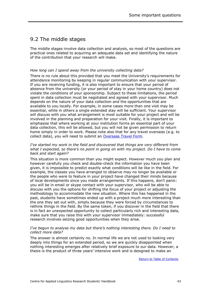### 9.2 The middle stages

The middle stages involve data collection and analysis, so most of the questions are practical ones related to acquiring an adequate data set and identifying the nature of the contribution that your research will make.

#### *How long can I spend away from the university collecting data?*

There is no rule about this provided that you meet the University's requirements for attendance monitoring by keeping in regular communication with your supervisor. If you are receiving funding, it is also important to ensure that your period of absence from the university (or your period of stay in your home country) does not violate the conditions of your sponsorship. Subject to these limitations, the period spent in data collection must be negotiated and agreed with your supervisor. Much depends on the nature of your data collection and the opportunities that are available to you locally. For example, in some cases more than one visit may be essential, while in others a single extended stay will be sufficient. Your supervisor will discuss with you what arrangement is most suitable for your project and will be involved in the planning and preparation for your visit. Finally, it is important to emphasise that where working at your institution forms an essential part of your data collection, this will be allowed, but you will not be given permission to return home simply in order to work. Please note also that for any travel overseas (e.g. to collect data), you will need to submit an [Overseas Travel Form.](http://www2.warwick.ac.uk/fac/soc/al/intranet/research/current_students/)

#### *I've started my work in the field and discovered that things are very different from what I expected, so there's no point in going on with my project. Do I have to come back and start again?*

This situation is more common than you might expect. However much you plan and however carefully you check and double-check the information you have been given, it is impossible to predict exactly what conditions will be like in the field. For example, the classes you have arranged to observe may no longer be available or the people who were to feature in your project have changed their minds because of local developments since you made arrangements. If this happens, don't panic: you will be in email or skype contact with your supervisor, who will be able to discuss with you the options for shifting the focus of your project or adjusting the methodology to accommodate the new situation. Where this has happened in the past, students have sometimes ended up with a project much more interesting than the one they set out with, simply because they were forced by circumstances to rethink things in the field. By the same token, if you discover in the field that there is in fact an unexpected opportunity to collect particularly rich and interesting data, make sure that you raise this with your supervisor immediately: successful research involves seizing good opportunities when they arise.

#### *I've begun to analyse my data but there's nothing interesting there. Do I need to collect more data?*

The answer is almost certainly no. In normal life we are not used to looking very deeply into things for an extended period, so we are quickly disappointed when nothing interesting emerges after relatively brief exposure to our data. However, a thesis is the product of three years' intensive work and is designed to make an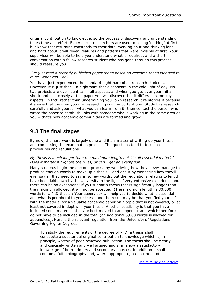original contribution to knowledge, so the process of discovery and understanding takes time and effort. Experienced researchers are used to seeing 'nothing' at first but know that returning constantly to their data, working on it and thinking long and hard about it will reveal features and patterns that were invisible at first. Your supervisor will be able to help you understand what is required, and a short conversation with a fellow research student who has gone through this process should reassure you.

#### *I've just read a recently published paper that's based on research that's identical to mine. What can I do?*

You have just experienced the standard nightmare of all research students. However, it is just that  $-$  a nightmare that disappears in the cold light of day. No two projects are ever identical in all aspects, and when you get over your initial shock and look closely at this paper you will discover that it differs in some key aspects. In fact, rather than undermining your own research it reinforces it because it shows that the area you are researching is an important one. Study this research carefully and ask yourself what you can learn from it; then contact the person who wrote the paper to establish links with someone who is working in the same area as you ─ that's how academic communities are formed and grow.

### <span id="page-46-0"></span>9.3 The final stages

By now, the hard work is largely done and it's a matter of writing up your thesis and completing the examination process. The questions tend to focus on procedures and regulations.

#### *My thesis is much longer than the maximum length but it's all essential material. Does it matter if I ignore the rules, or can I get an exemption?*

Many students begin the doctoral process by wondering how they'll ever manage to produce enough words to make up a thesis - and end it by wondering how they'll ever say all they need to say in so few words. But the regulations relating to length have been laid down by the University in the light of very extensive experience and there can be no exceptions: if you submit a thesis that is significantly longer than the maximum allowed, it will not be accepted. (The maximum length is 80,000 words for a PhD thesis.) Your supervisor will help you to decide what is essential and what is peripheral to your thesis and the result may be that you find yourself with the material for a valuable academic paper on a topic that is not covered, or at least not covered in depth, in your thesis. Another possibility is that you have included some materials that are best moved to an appendix and which therefore do not have to be included in the total (an additional 5,000 words is allowed for appendices). Here is the relevant regulation from the University's 'Regulations Governing Higher Degrees':

To satisfy the requirements of the degree of PhD, a thesis shall constitute a substantial original contribution to knowledge which is, in principle, worthy of peer-reviewed publication. The thesis shall be clearly and concisely written and well argued and shall show a satisfactory knowledge of both primary and secondary sources. In addition it shall contain a full bibliography and, where appropriate, a description of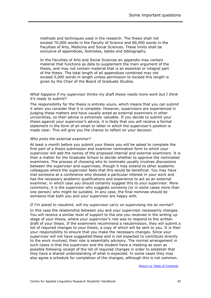methods and techniques used in the research. The thesis shall not exceed 70,000 words in the Faculty of Science and 80,000 words in the Faculties of Arts, Medicine and Social Sciences. These limits shall be exclusive of appendices, footnotes, tables and bibliography.

In the Faculties of Arts and Social Sciences an appendix may contain material that functions as data to supplement the main argument of the thesis, and may not contain material that is an essential or integral part of the thesis. The total length of all appendices combined may not exceed 5,000 words in length unless permission to exceed this length is given by the Chair of the Board of Graduate Studies.

#### *What happens if my supervisor thinks my draft thesis needs more work but I think it's ready to submit?*

The responsibility for the thesis is entirely yours, which means that you can submit it when you consider that it is complete. However, supervisors are experienced in judging these matters and have usually acted as external examiners in other universities, so their advice is extremely valuable. If you decide to submit your thesis against your supervisor's advice, it is likely that you will receive a formal statement in the form of an email or letter in which the supervisor's position is made clear. This will give you the chance to reflect on your decision.

#### *Who picks the external examiner?*

At least a month before you submit your thesis you will be asked to complete the first part of a thesis submission and examiner nomination form to which your supervisor will add the names of the proposed internal and external examiners. It is then a matter for the Graduate School to decide whether to approve the nominated examiners. The process of choosing who to nominate usually involves discussions between the supervisor and supervisee, though it may extend to other academic colleagues where the supervisor feels that this would be beneficial. You may have met someone at a conference who showed a particular interest in your work and has the necessary academic qualifications and experience to act as an external examiner, in which case you should certainly suggest this to your supervisor. More commonly, it is the supervisor who suggests someone (or in some cases more than one person) who might be suitable. In any case, the final nominee should be someone that both you and your supervisor are happy with.

#### *If I'm asked to resubmit, will my supervisor carry on supervising me as normal?*

In this case the relationship between you and your supervisor necessarily changes. You will receive a similar level of support to the one you received in the writing up stage of your thesis, where your supervisor's role was to respond to the written draft of your thesis. If the examiners recommend a resubmission, they will submit a list of required changes to your thesis, a copy of which will be sent to you. It is then your responsibility to ensure that you make the necessary changes. Since your supervisor will not have suggested these and is not expected to contribute directly to the work involved, their role is essentially advisory. The normal arrangement in such cases is that the supervisor and the student have a meeting as soon as possible following receipt of the list of required changes in order to establish that they have a shared understanding of what is expected. In some cases they may also agree a schedule for completion of the changes, although this is not common.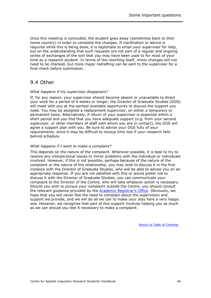Once this meeting is concluded, the student goes away (sometimes back to their home country) in order to complete the changes. If clarification or advice is required while this is being done, it is legitimate to email your supervisor for help, but on the understanding that such requests are not part of a regular and ongoing series of exchanges of the sort that you may have been used to for most of your time as a research student. In terms of the rewriting itself, minor changes will not need to be checked, but more major redrafting can be sent to the supervisor for a final check before submission.

## <span id="page-48-0"></span>9.4 Other

#### *What happens if my supervisor disappears?*

If, for any reason, your supervisor should become absent or unavailable to direct your work for a period of 4 weeks or longer, the Director of Graduate Studies (DGS) will meet with you at the earliest available opportunity to discuss the support you need. You may be assigned a replacement supervisor, on either a temporary or permanent basis. Alternatively, if return of your supervisor is expected within a short period and you find that you have adequate support (e.g. from your second supervisor, or other members of staff with whom you are in contact), the DGS will agree a support plan with you. Be sure to advise your DGS fully of your requirements, since it may be difficult to recoup time lost if your research falls behind schedule.

#### *What happens if I want to make a complaint?*

This depends on the nature of the complaint. Wherever possible, it is best to try to resolve any interpersonal issues or minor problems with the individual or individuals involved. However, if this is not possible, perhaps because of the nature of the complaint or the nature of the relationship, you may wish to discuss it in the first instance with the Director of Graduate Studies, who will be able to advise you on an appropriate response. If you are not satisfied with this or would prefer not to discuss it with the Director of Graduate Studies, you can communicate your complaint to the Director of the Centre, who will take whatever action is necessary. Should you wish to pursue your complaint outside the Centre, you should consult the relevant guidance provided by the [Academic Registrar's Office](http://www2.warwick.ac.uk/services/aro/academiccomplaints). Obviously, we hope that you will never feel the need to complain about the supervision and support we provide, and we will do all we can to make your stay here a very happy one. However, we recognise that part of this support involves helping you as much as we can should you feel it necessary to make a complaint.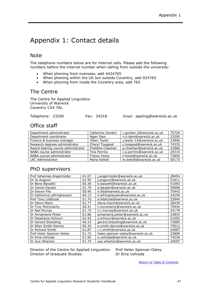## <span id="page-49-0"></span>Appendix 1: Contact details

#### Note

The telephone numbers below are for internal calls. Please add the following numbers before the internal number when calling from outside the university:

- When phoning from overseas, add 4424765
- When phoning within the UK but outside Coventry, add 024765
- When phoning from inside the Coventry area, add 765

#### The Centre

The Centre for Applied Linguistics University of Warwick Coventry CV4 7AL

Telephone: 23200 Fax: 24318 Email: appling@warwick.ac.uk

### Office staff

| Department administrator           | Catherine Gordon   | c.gordon.2@warwick.ac.uk  | 75729 |
|------------------------------------|--------------------|---------------------------|-------|
| Department coordinator             | Ngan Dam           | n.k.dam@warwick.ac.uk     | 23200 |
| Finance & business manager         | Jillian Taylor     | j.taylor.13@warwick.ac.uk | 23846 |
| Research degrees administrator     | Cheryl Toogood     | c.toogood@warwick.ac.uk   | 74335 |
| Award-bearing course administrator | Pratibha Chauhan   | p.chauhan@warwick.ac.uk   | 22860 |
| NABA course administrator          | Tina Perrins       | c.a.perrins@warwick.ac.uk | 24315 |
| NABA course administrator          | <b>Tracey Howe</b> | t.howe@warwick.ac.uk      | 72845 |
| <b>LRC Administrator</b>           | Marie Kettell      | m.kettell@warwick.ac.uk   | 50173 |

### PhD supervisors

| Prof Johannes Angermüller  | A1.07             | j.angermuller@warwick.ac.uk       | 28494 |
|----------------------------|-------------------|-----------------------------------|-------|
| Dr Jo Angouri              | S1.95             | j.angouri@warwick.ac.uk           | 51811 |
| Dr Bene Bassetti           | S0.36             | b.bassetti@warwick.ac.uk          | 51093 |
| Dr Daniel Dauber           | S1.79             | d.dauber@warwick.ac.uk            | 50908 |
| Dr Kieran File             | S <sub>0.40</sub> | k.file@warwick.ac.uk              | 75443 |
| Dr Katharina Lefringhausen | A0.13             | k.lefringhausen@warwick.ac.uk     | 24250 |
| Prof Tony Liddicoat        | S <sub>1.70</sub> | a.liddicoat@warwick.ac.uk         | 23944 |
| Dr Steve Mann              | S <sub>1.77</sub> | steve.mann@warwick.ac.uk          | 28439 |
| Dr Troy McConachy          | S <sub>0.41</sub> | t.mcconachy@warwick.ac.uk         | 75444 |
| Dr Neil Murray             | S <sub>1.73</sub> | n.l.murray@warwick.ac.uk          | 24179 |
| Dr Annamaria Pinter        | S1.86             | annamaria.pinter@warwick.ac.uk    | 23843 |
| Dr Stephanie Schnurr       | S1.93             | s.schnurr@warwick.ac.uk           | 51092 |
| Dr Gerard Sharpling        | A0.19             | gerard.sharpling@warwick.ac.uk    | 72885 |
| Dr Ellen Smith-Dennis      | S0.34             | e.smith-dennis@warwick.ac.uk      | 75912 |
| Dr Richard Smith           | S1.87             | r.c.smith@warwick.ac.uk           | 24987 |
| Prof Helen Spencer-Oatey   | S1.72             | helen.spencer-oatey@warwick.ac.uk | 23808 |
| Dr Ema Ushioda             | S1.92             | e.ushioda@warwick.ac.uk           | 74236 |
| Dr Sue Wharton             | S1.75             | sue.wharton@warwick.ac.uk         | 24597 |

Director of the Centre for Applied Linguistics: Prof Helen Spencer-Oatey<br>Director of Graduate Studies: Dr Ema Ushioda Director of Graduate Studies: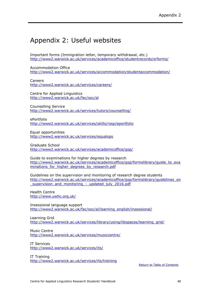## <span id="page-50-0"></span>Appendix 2: Useful websites

Important forms (Immigration letter, temporary withdrawal, etc.) <http://www2.warwick.ac.uk/services/academicoffice/studentrecords/srforms/>

Accommodation Office <http://www2.warwick.ac.uk/services/accommodation/studentaccommodation/>

Careers <http://www2.warwick.ac.uk/services/careers/>

Centre for Applied Linguistics <http://www2.warwick.ac.uk/fac/soc/al>

Counselling Service <http://www2.warwick.ac.uk/services/tutors/counselling/>

ePortfolio <http://www2.warwick.ac.uk/services/skills/rssp/eportfolio>

Equal opportunities <http://www2.warwick.ac.uk/services/equalops>

Graduate School <http://www2.warwick.ac.uk/services/academicoffice/gsp/>

Guide to examinations for higher degrees by research [http://www2.warwick.ac.uk/services/academicoffice/gsp/formslibrary/guide\\_to\\_exa](http://www2.warwick.ac.uk/services/academicoffice/gsp/formslibrary/guide_to_examinations_for_higher_degrees_by_research.pdf) minations for higher degrees by research.pdf

Guidelines on the supervision and monitoring of research degree students [http://www2.warwick.ac.uk/services/academicoffice/gsp/formslibrary/guidelines\\_on](http://www2.warwick.ac.uk/services/academicoffice/gsp/formslibrary/guidelines_on_supervision_and_monitoring_-_updated_july_2016.pdf) \_supervision\_and\_monitoring - updated\_july\_2016.pdf

Health Centre <http://www.uwhc.org.uk/>

Insessional language support [http://www2.warwick.ac.uk/fac/soc/al/learning\\_english/insessional/](http://www2.warwick.ac.uk/fac/soc/al/learning_english/insessional/)

Learning Grid [http://www2.warwick.ac.uk/services/library/using/libspaces/learning\\_grid/](http://www2.warwick.ac.uk/services/library/using/libspaces/learning_grid/)

Music Centre <http://www2.warwick.ac.uk/services/musiccentre/>

IT Services <http://www2.warwick.ac.uk/services/its/>

IT Training <http://www2.warwick.ac.uk/services/its/training>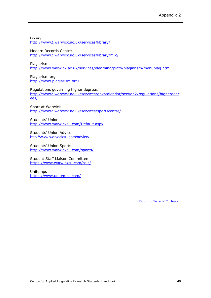Library <http://www2.warwick.ac.uk/services/library/>

Modern Records Centre <http://www2.warwick.ac.uk/services/library/mrc/>

Plagiarism <http://www.warwick.ac.uk/services/elearning/plato/plagiarism/menuplag.html>

Plagiarism.org <http://www.plagiarism.org/>

Regulations governing higher degrees [http://www2.warwick.ac.uk/services/gov/calendar/section2/regulations/higherdegr](http://www2.warwick.ac.uk/services/gov/calendar/section2/regulations/higherdegrees/) [ees/](http://www2.warwick.ac.uk/services/gov/calendar/section2/regulations/higherdegrees/)

Sport at Warwick <http://www2.warwick.ac.uk/services/sportscentre/>

Students' Union <http://www.warwicksu.com/Default.aspx>

Students' Union Advice <http://www.warwicksu.com/advice/>

Students' Union Sports <http://www.warwicksu.com/sports/>

Student Staff Liaison Committee <https://www.warwicksu.com/sslc/>

Unitemps <https://www.unitemps.com/>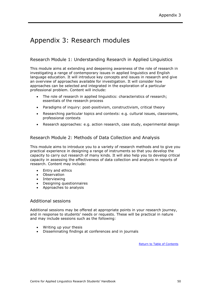## <span id="page-52-0"></span>Appendix 3: Research modules

#### Research Module 1: Understanding Research in Applied Linguistics

This module aims at extending and deepening awareness of the role of research in investigating a range of contemporary issues in applied linguistics and English language education. It will introduce key concepts and issues in research and give an overview of approaches available for investigation. It will consider how approaches can be selected and integrated in the exploration of a particular professional problem. Content will include:

- The role of research in applied linguistics: characteristics of research: essentials of the research process
- Paradigms of inquiry: post-positivism, constructivism, critical theory
- Researching particular topics and contexts: e.g. cultural issues, classrooms, professional contexts
- Research approaches: e.g. action research, case study, experimental design

#### Research Module 2: Methods of Data Collection and Analysis

This module aims to introduce you to a variety of research methods and to give you practical experience in designing a range of instruments so that you develop the capacity to carry out research of many kinds. It will also help you to develop critical capacity in assessing the effectiveness of data collection and analysis in reports of research. Content may include:

- Entry and ethics
- Observation
- Interviewing
- Designing questionnaires
- Approaches to analysis

#### Additional sessions

Additional sessions may be offered at appropriate points in your research journey, and in response to students' needs or requests. These will be practical in nature and may include sessions such as the following:

- Writing up your thesis
- Disseminating findings at conferences and in journals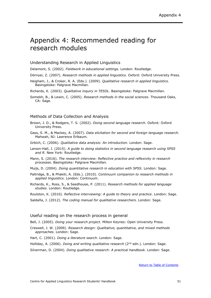## <span id="page-53-0"></span>Appendix 4: Recommended reading for research modules

#### Understanding Research in Applied Linguistics

Delamont, S. (2002). *Fieldwork in educational settings.* London: Routledge.

Dörnyei, Z. (2007). *Research methods in applied linguistics.* Oxford: Oxford University Press.

Heigham, J., & Croker, R. A. (Eds.). (2009). *Qualitative research in applied linguistics.* Basingstoke: Palgrave Macmillan.

Richards, K. (2003). *Qualitative inquiry in TESOL.* Basingstoke: Palgrave Macmillan.

Somekh, B., & Lewin, C. (2005). *Research methods in the social sciences*. Thousand Oaks, CA: Sage.

#### Methods of Data Collection and Analysis

- Brown, J. D., & Rodgers, T. S. (2002). *Doing second language research.* Oxford: Oxford University Press.
- Gass, S. M., & Mackey, A. (2007). *Data elicitation for second and foreign language research.* Mahwah, NJ: Lawrence Erlbaum.

Grbich, C. (2006). *Qualitative data analysis: An introduction*. London: Sage.

- Larson-Hall, J. (2015). *A guide to doing statistics in second language research using SPSS and R.* New York: Routledge.
- Mann, S. (2016). *The research interview: Reflective practice and reflexivity in research processes*. Basingstoke: Palgrave Macmillan.

Muijs, D. (2004). *Doing quantitative research in education with SPSS.* London: Sage.

- Paltridge, B., & Phakiti, A. (Eds.). (2010). *Continuum companion to research methods in applied linguistics*. London: Continuum.
- Richards, K., Ross, S., & Seedhouse, P. (2011). *Research methods for applied language studies.* London: Routledge.

Roulston, K. (2010). *Reflective interviewing: A guide to theory and practice*. London: Sage.

Saldaña, J. (2012). *The coding manual for qualitative researchers.* London: Sage.

#### Useful reading on the research process in general

Bell, J. (2005). *Doing your research project*. Milton Keynes: Open University Press.

- Creswell, J. W. (2009). *Research design: Qualitative, quantitative, and mixed methods approaches*. London: Sage.
- Hart, C. (2001). *Doing a literature search*. London: Sage.
- Holliday, A. (2006). *Doing and writing qualitative research* (2nd edn.). London: Sage.

Silverman, D. (2004). *Doing qualitative research: A practical handbook*. London: Sage.